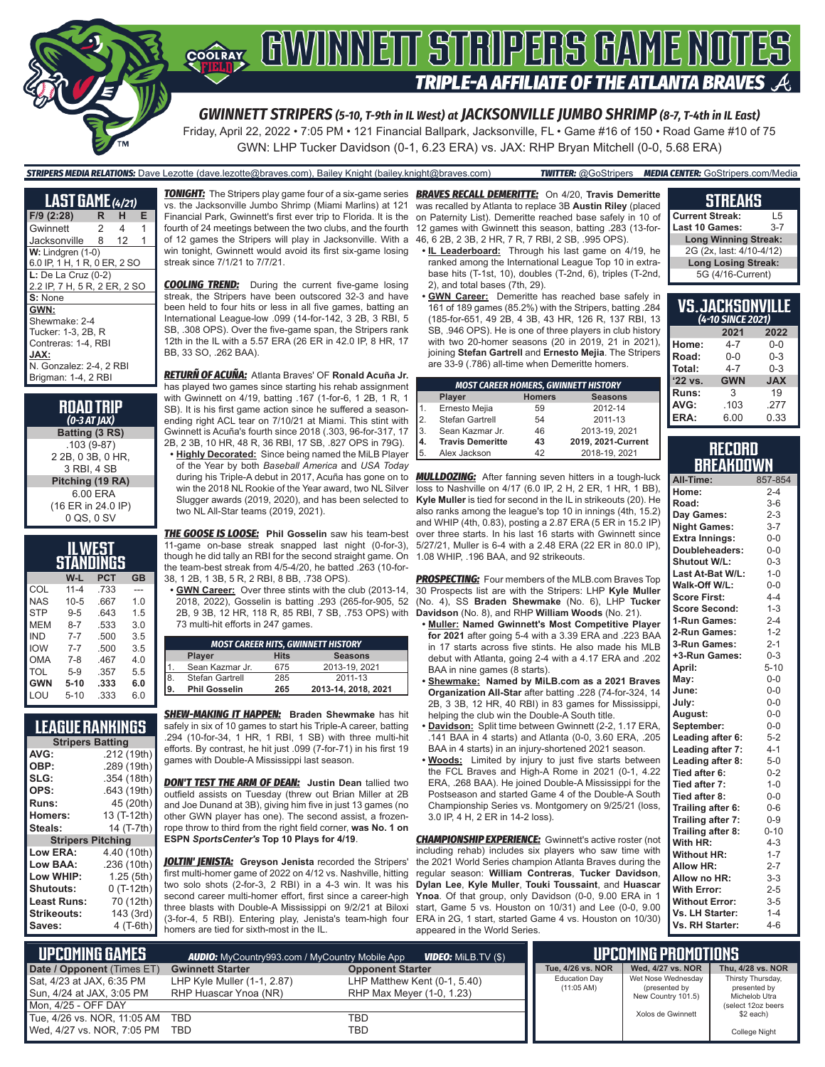

# **COORAY GWINNEIT STRIPERS GAME NOTES TRIPLE-A AFFILIATE OF THE ATLANTA BRAVES**

*GWINNETT STRIPERS (5-10, T-9th in IL West) at JACKSONVILLE JUMBO SHRIMP (8-7, T-4th in IL East)*

Friday, April 22, 2022 • 7:05 PM • 121 Financial Ballpark, Jacksonville, FL • Game #16 of 150 • Road Game #10 of 75 GWN: LHP Tucker Davidson (0-1, 6.23 ERA) vs. JAX: RHP Bryan Mitchell (0-0, 5.68 ERA)

### *STRIPERS MEDIA RELATIONS:* Dave Lezotte (dave.lezotte@braves.com), Bailey Knight (bailey.knight@braves.com) *TWITTER:* @GoStripers *MEDIA CENTER:* GoStripers.com/Media

| <b>LAST GAME</b> (4/21)      |                |    |   |
|------------------------------|----------------|----|---|
| F/9 (2:28)                   | R              | н  | Е |
| Gwinnett                     | $\overline{2}$ | 4  | 1 |
| Jacksonville                 | 8              | 12 | 1 |
| $W:$ Lindgren $(1-0)$        |                |    |   |
| 6.0 IP, 1 H, 1 R, 0 ER, 2 SO |                |    |   |
| $L:$ De La Cruz (0-2)        |                |    |   |
| 2.2 IP, 7 H, 5 R, 2 ER, 2 SO |                |    |   |
| S: None                      |                |    |   |
| GWN:                         |                |    |   |
| Shewmake: 2-4                |                |    |   |
| Tucker: 1-3, 2B, R           |                |    |   |
| Contreras: 1-4, RBI          |                |    |   |
| JAX:                         |                |    |   |
| N. Gonzalez: 2-4, 2 RBI      |                |    |   |
| Brigman: 1-4, 2 RBI          |                |    |   |

#### **ROAD TRIP** *(0-3 AT JAX)* **Batting (3 RS)** .103 (9-87) 2 2B, 0 3B, 0 HR, 3 RBI, 4 SB **Pitching (19 RA)** 6.00 ERA (16 ER in 24.0 IP) 0 QS, 0 SV

| IL WEST<br>STANDINGS |                                |      |     |  |  |  |  |  |  |
|----------------------|--------------------------------|------|-----|--|--|--|--|--|--|
|                      | <b>PCT</b><br>W-L<br><b>GB</b> |      |     |  |  |  |  |  |  |
| COL                  | $11 - 4$                       | .733 |     |  |  |  |  |  |  |
| NAS                  | $10 - 5$                       | .667 | 1.0 |  |  |  |  |  |  |
| <b>STP</b>           | $9 - 5$                        | .643 | 1.5 |  |  |  |  |  |  |
| MEM                  | $8 - 7$                        | .533 | 3.0 |  |  |  |  |  |  |
| IND                  | $7 - 7$                        | .500 | 3.5 |  |  |  |  |  |  |
| <b>IOW</b>           | $7 - 7$                        | .500 | 3.5 |  |  |  |  |  |  |
| <b>OMA</b>           | 7-8                            | .467 | 4.0 |  |  |  |  |  |  |
| TOL                  | $5-9$                          | .357 | 5.5 |  |  |  |  |  |  |
| <b>GWN</b>           | $5-10$                         | .333 | 6.0 |  |  |  |  |  |  |
| LOU                  | $5 - 10$                       | .333 | 6.0 |  |  |  |  |  |  |

### **LEAGUE RANKINGS**

| <b>Stripers Batting</b>  |             |  |  |  |  |
|--------------------------|-------------|--|--|--|--|
| AVG:                     | .212 (19th) |  |  |  |  |
| OBP:                     | .289 (19th) |  |  |  |  |
| SLG:                     | .354 (18th) |  |  |  |  |
| OPS:                     | .643 (19th) |  |  |  |  |
| Runs:                    | 45 (20th)   |  |  |  |  |
| <b>Homers:</b>           | 13 (T-12th) |  |  |  |  |
| Steals:                  | 14 (T-7th)  |  |  |  |  |
| <b>Stripers Pitching</b> |             |  |  |  |  |
| <b>Low ERA:</b>          | 4.40 (10th) |  |  |  |  |
| <b>Low BAA:</b>          | .236 (10th) |  |  |  |  |
| Low WHIP:                | 1.25 (5th)  |  |  |  |  |
| Shutouts:                | 0 (T-12th)  |  |  |  |  |
| Least Runs:              | 70 (12th)   |  |  |  |  |
| <b>Strikeouts:</b>       | 143 (3rd)   |  |  |  |  |
| Saves:                   | 4 (T-6th)   |  |  |  |  |

*TONIGHT:* The Stripers play game four of a six-game series *BRAVES RECALL DEMERITTE:* On 4/20, **Travis Demeritte** vs. the Jacksonville Jumbo Shrimp (Miami Marlins) at 121 Financial Park, Gwinnett's first ever trip to Florida. It is the fourth of 24 meetings between the two clubs, and the fourth of 12 games the Stripers will play in Jacksonville. With a 46, 6 2B, 2 3B, 2 HR, 7 R, 7 RBI, 2 SB, .995 OPS). win tonight, Gwinnett would avoid its first six-game losing streak since 7/1/21 to 7/7/21.

**COOLING TREND:** During the current five-game losing streak, the Stripers have been outscored 32-3 and have been held to four hits or less in all five games, batting an International League-low .099 (14-for-142, 3 2B, 3 RBI, 5 SB, .308 OPS). Over the five-game span, the Stripers rank 12th in the IL with a 5.57 ERA (26 ER in 42.0 IP, 8 HR, 17 BB, 33 SO, .262 BAA).

*RETURÑ OF ACUÑA:* Atlanta Braves' OF **Ronald Acuña Jr.** has played two games since starting his rehab assignment with Gwinnett on 4/19, batting .167 (1-for-6, 1 2B, 1 R, 1 SB). It is his first game action since he suffered a seasonending right ACL tear on 7/10/21 at Miami. This stint with Gwinnett is Acuña's fourth since 2018 (.303, 96-for-317, 17 2B, 2 3B, 10 HR, 48 R, 36 RBI, 17 SB, .827 OPS in 79G).

**• Highly Decorated:** Since being named the MiLB Player of the Year by both *Baseball America* and *USA Today* during his Triple-A debut in 2017, Acuña has gone on to win the 2018 NL Rookie of the Year award, two NL Silver Slugger awards (2019, 2020), and has been selected to two NL All-Star teams (2019, 2021).

*THE GOOSE IS LOOSE:* **Phil Gosselin** saw his team-best 11-game on-base streak snapped last night (0-for-3), though he did tally an RBI for the second straight game. On the team-best streak from 4/5-4/20, he batted .263 (10-for-38, 1 2B, 1 3B, 5 R, 2 RBI, 8 BB, .738 OPS).

**• GWN Career:** Over three stints with the club (2013-14, 2018, 2022), Gosselin is batting .293 (265-for-905, 52 2B, 9 3B, 12 HR, 118 R, 85 RBI, 7 SB, .753 OPS) with 73 multi-hit efforts in 247 games.

|    | <b>MOST CAREER HITS, GWINNETT HISTORY</b>      |     |                     |  |  |  |  |  |
|----|------------------------------------------------|-----|---------------------|--|--|--|--|--|
|    | <b>Hits</b><br><b>Seasons</b><br><b>Player</b> |     |                     |  |  |  |  |  |
|    | Sean Kazmar Jr.                                | 675 | 2013-19, 2021       |  |  |  |  |  |
| 8. | Stefan Gartrell                                | 285 | 2011-13             |  |  |  |  |  |
| 9. | <b>Phil Gosselin</b>                           | 265 | 2013-14. 2018. 2021 |  |  |  |  |  |

*SHEW-MAKING IT HAPPEN:* **Braden Shewmake** has hit safely in six of 10 games to start his Triple-A career, batting .294 (10-for-34, 1 HR, 1 RBI, 1 SB) with three multi-hit efforts. By contrast, he hit just .099 (7-for-71) in his first 19 games with Double-A Mississippi last season.

*DON'T TEST THE ARM OF DEAN:* Justin Dean tallied two outfield assists on Tuesday (threw out Brian Miller at 2B and Joe Dunand at 3B), giving him five in just 13 games (no other GWN player has one). The second assist, a frozenrope throw to third from the right field corner, **was No. 1 on ESPN** *SportsCenter's* **Top 10 Plays for 4/19**.

*JOLTIN' JENISTA:* **Greyson Jenista** recorded the Stripers' first multi-homer game of 2022 on 4/12 vs. Nashville, hitting two solo shots (2-for-3, 2 RBI) in a 4-3 win. It was his second career multi-homer effort, first since a career-high three blasts with Double-A Mississippi on 9/2/21 at Biloxi (3-for-4, 5 RBI). Entering play, Jenista's team-high four homers are tied for sixth-most in the IL.

### was recalled by Atlanta to replace 3B **Austin Riley** (placed on Paternity List). Demeritte reached base safely in 10 of 12 games with Gwinnett this season, batting .283 (13-for-

- **• IL Leaderboard:** Through his last game on 4/19, he ranked among the International League Top 10 in extrabase hits (T-1st, 10), doubles (T-2nd, 6), triples (T-2nd, 2), and total bases (7th, 29).
- **• GWN Career:** Demeritte has reached base safely in 161 of 189 games (85.2%) with the Stripers, batting .284 (185-for-651, 49 2B, 4 3B, 43 HR, 126 R, 137 RBI, 13 SB, .946 OPS). He is one of three players in club history with two 20-homer seasons (20 in 2019, 21 in 2021), joining **Stefan Gartrell** and **Ernesto Mejia**. The Stripers are 33-9 (.786) all-time when Demeritte homers.

|    | <b>MOST CAREER HOMERS, GWINNETT HISTORY</b> |    |                    |  |  |  |  |  |  |
|----|---------------------------------------------|----|--------------------|--|--|--|--|--|--|
|    | <b>Seasons</b><br><b>Homers</b><br>Player   |    |                    |  |  |  |  |  |  |
| 1. | Ernesto Mejia                               | 59 | 2012-14            |  |  |  |  |  |  |
| 2. | Stefan Gartrell                             | 54 | 2011-13            |  |  |  |  |  |  |
| 3. | Sean Kazmar Jr.                             | 46 | 2013-19, 2021      |  |  |  |  |  |  |
| 4. | <b>Travis Demeritte</b>                     | 43 | 2019. 2021-Current |  |  |  |  |  |  |
| 5. | Alex Jackson                                | 42 | 2018-19, 2021      |  |  |  |  |  |  |

**MULLDOZING:** After fanning seven hitters in a tough-luck loss to Nashville on 4/17 (6.0 IP, 2 H, 2 ER, 1 HR, 1 BB), **Kyle Muller** is tied for second in the IL in strikeouts (20). He also ranks among the league's top 10 in innings (4th, 15.2) and WHIP (4th, 0.83), posting a 2.87 ERA (5 ER in 15.2 IP) over three starts. In his last 16 starts with Gwinnett since 5/27/21, Muller is 6-4 with a 2.48 ERA (22 ER in 80.0 IP), 1.08 WHIP, .196 BAA, and 92 strikeouts.

**PROSPECTING:** Four members of the MLB.com Braves Top 30 Prospects list are with the Stripers: LHP **Kyle Muller** (No. 4), SS **Braden Shewmake** (No. 6), LHP **Tucker Davidson** (No. 8), and RHP **William Woods** (No. 21).

- **• Muller: Named Gwinnett's Most Competitive Player for 2021** after going 5-4 with a 3.39 ERA and .223 BAA in 17 starts across five stints. He also made his MLB debut with Atlanta, going 2-4 with a 4.17 ERA and .202 BAA in nine games (8 starts).
- **• Shewmake: Named by MiLB.com as a 2021 Braves Organization All-Star** after batting .228 (74-for-324, 14 2B, 3 3B, 12 HR, 40 RBI) in 83 games for Mississippi, helping the club win the Double-A South title.
- **• Davidson:** Split time between Gwinnett (2-2, 1.17 ERA, .141 BAA in 4 starts) and Atlanta (0-0, 3.60 ERA, .205 BAA in 4 starts) in an injury-shortened 2021 season.
- **• Woods:** Limited by injury to just five starts between the FCL Braves and High-A Rome in 2021 (0-1, 4.22 ERA, .268 BAA). He joined Double-A Mississippi for the Postseason and started Game 4 of the Double-A South Championship Series vs. Montgomery on 9/25/21 (loss, 3.0 IP, 4 H, 2 ER in 14-2 loss).

**CHAMPIONSHIP EXPERIENCE:** Gwinnett's active roster (not including rehab) includes six players who saw time with the 2021 World Series champion Atlanta Braves during the regular season: **William Contreras**, **Tucker Davidson**, **Dylan Lee**, **Kyle Muller**, **Touki Toussaint**, and **Huascar Ynoa**. Of that group, only Davidson (0-0, 9.00 ERA in 1 start, Game 5 vs. Houston on 10/31) and Lee (0-0, 9.00 ERA in 2G, 1 start, started Game 4 vs. Houston on 10/30) appeared in the World Series.

### **STREAKS**

| <b>Current Streak:</b>      | L5      |
|-----------------------------|---------|
| <b>Last 10 Games:</b>       | $3 - 7$ |
| <b>Long Winning Streak:</b> |         |
| 2G (2x, last: 4/10-4/12)    |         |
| <b>Long Losing Streak:</b>  |         |
| 5G (4/16-Current)           |         |

| <b>VS.JACKSONVILLE</b><br>(4-10 SINCE 2021) |            |            |  |  |  |  |  |
|---------------------------------------------|------------|------------|--|--|--|--|--|
| 2021<br>2022                                |            |            |  |  |  |  |  |
| Home:                                       | 4-7        | $0 - 0$    |  |  |  |  |  |
| Road:                                       | $0 - 0$    | $0 - 3$    |  |  |  |  |  |
| Total:                                      | $4 - 7$    | $0 - 3$    |  |  |  |  |  |
| '22 vs.                                     | <b>GWN</b> | <b>JAX</b> |  |  |  |  |  |
| Runs:                                       | 3          | 19         |  |  |  |  |  |
| AVG:                                        | .103       | .277       |  |  |  |  |  |
| ERA:                                        | 6.00       | 0.33       |  |  |  |  |  |

### **RECORD RRFAKNOWN**

| All-Time:             | 857-854  |
|-----------------------|----------|
| Home:                 | $2 - 4$  |
| Road:                 | $3-6$    |
| Day Games:            | $2 - 3$  |
| <b>Night Games:</b>   | $3 - 7$  |
| <b>Extra Innings:</b> | $0-0$    |
| Doubleheaders:        | $0-0$    |
| <b>Shutout W/L:</b>   | $0 - 3$  |
| Last At-Bat W/L:      | $1 - 0$  |
| Walk-Off W/L:         | $0 - 0$  |
| <b>Score First:</b>   | $4 - 4$  |
| <b>Score Second:</b>  | $1 - 3$  |
| 1-Run Games:          | $2 - 4$  |
| 2-Run Games:          | $1 - 2$  |
| 3-Run Games:          | $2 - 1$  |
| +3-Run Games:         | $0 - 3$  |
| April:                | $5 - 10$ |
| Mav:                  | $0 - 0$  |
| June:                 | $0-0$    |
| July:                 | $0-0$    |
| August:               | $0-0$    |
| September:            | $0 - 0$  |
| Leading after 6:      | $5 - 2$  |
| Leading after 7:      | $4 - 1$  |
| Leading after 8:      | $5-0$    |
| Tied after 6:         | $0 - 2$  |
| Tied after 7:         | $1 - 0$  |
| Tied after 8:         | $0 - 0$  |
| Trailing after 6:     | $0 - 6$  |
| Trailing after 7:     | $0 - 9$  |
| Trailing after 8:     | $0 - 10$ |
| With HR:              | $4 - 3$  |
| <b>Without HR:</b>    | $1 - 7$  |
| <b>Allow HR:</b>      | $2 - 7$  |
| Allow no HR:          | $3 - 3$  |
| <b>With Error:</b>    | $2 - 5$  |
| <b>Without Error:</b> | $3 - 5$  |
| Vs. LH Starter:       | $1 - 4$  |
| Vs. RH Starter:       | $4 - 6$  |

| $\blacksquare$ Upcoming Games $\nabla$ |                             | UPCOMING PROMOTIONS <b>'</b> |                      |                                     |                               |
|----------------------------------------|-----------------------------|------------------------------|----------------------|-------------------------------------|-------------------------------|
| Date / Opponent (Times ET)             | <b>Gwinnett Starter</b>     | <b>Opponent Starter</b>      | Tue, 4/26 vs. NOR    | Wed. 4/27 vs. NOR                   | Thu. 4/28 vs. NOR             |
| Sat, 4/23 at JAX, 6:35 PM              | LHP Kyle Muller (1-1, 2.87) | LHP Matthew Kent (0-1, 5.40) | <b>Education Dav</b> | Wet Nose Wednesday                  | Thirsty Thursday,             |
| Sun, 4/24 at JAX, 3:05 PM              | RHP Huascar Ynoa (NR)       | RHP Max Mever (1-0, 1.23)    | $(11:05 \text{ AM})$ | (presented by<br>New Country 101.5) | presented by<br>Michelob Utra |
| Mon. 4/25 - OFF DAY                    |                             |                              |                      |                                     | (select 12oz beers)           |
| Tue, 4/26 vs. NOR, 11:05 AM            | TBD                         | TBD                          |                      | Xolos de Gwinnett                   | \$2 each)                     |
| Wed, 4/27 vs. NOR, 7:05 PM             | TBD                         | TBD                          |                      |                                     | <b>College Night</b>          |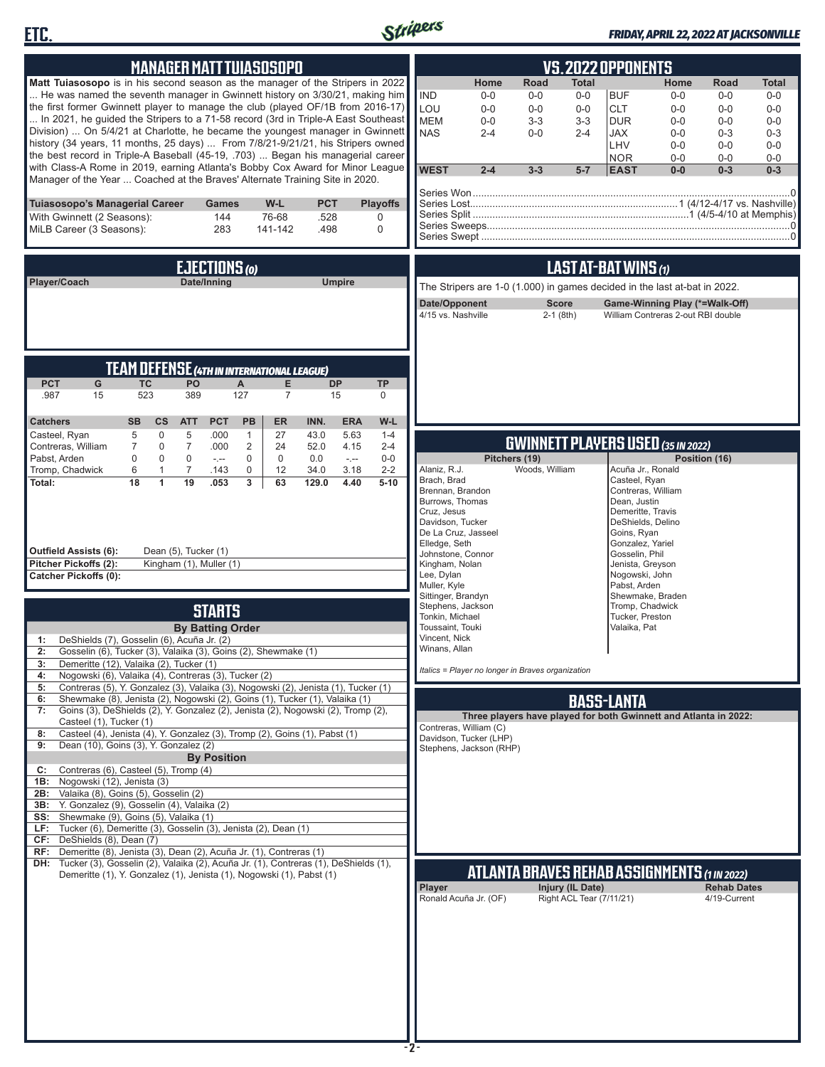



### *FRIDAY, APRIL 22, 2022 AT JACKSONVILLE*

| <b>MANAGER MATT TUIASOSOPO</b>                                                                                                                                                                                                                                                                                                                                                                                                                                                                                                                                                                                                                                                                                                                                | <u>VS.2022 OPPONENTS</u>                                                                                                                                                                                                                                                                                                                                                                                                                                                                                                                                             |
|---------------------------------------------------------------------------------------------------------------------------------------------------------------------------------------------------------------------------------------------------------------------------------------------------------------------------------------------------------------------------------------------------------------------------------------------------------------------------------------------------------------------------------------------------------------------------------------------------------------------------------------------------------------------------------------------------------------------------------------------------------------|----------------------------------------------------------------------------------------------------------------------------------------------------------------------------------------------------------------------------------------------------------------------------------------------------------------------------------------------------------------------------------------------------------------------------------------------------------------------------------------------------------------------------------------------------------------------|
| Matt Tuiasosopo is in his second season as the manager of the Stripers in 2022<br>He was named the seventh manager in Gwinnett history on 3/30/21, making him<br>the first former Gwinnett player to manage the club (played OF/1B from 2016-17)<br>In 2021, he guided the Stripers to a 71-58 record (3rd in Triple-A East Southeast<br>Division)  On 5/4/21 at Charlotte, he became the youngest manager in Gwinnett<br>history (34 years, 11 months, 25 days)  From 7/8/21-9/21/21, his Stripers owned<br>the best record in Triple-A Baseball (45-19, .703)  Began his managerial career<br>with Class-A Rome in 2019, earning Atlanta's Bobby Cox Award for Minor League<br>Manager of the Year  Coached at the Braves' Alternate Training Site in 2020. | Home<br>Road<br><b>Total</b><br>Home<br>Road<br>Total<br><b>IND</b><br>$0-0$<br>$0-0$<br><b>BUF</b><br>$0-0$<br>$0-0$<br>$0-0$<br>$0-0$<br>LOU<br><b>CLT</b><br>$0-0$<br>$0-0$<br>$0-0$<br>$0-0$<br>$0-0$<br>$0 - 0$<br><b>MEM</b><br>$3-3$<br>$3 - 3$<br>$0-0$<br><b>DUR</b><br>$0-0$<br>$0-0$<br>$0-0$<br><b>NAS</b><br>$0-0$<br>$2 - 4$<br>$2 - 4$<br>JAX<br>$0-0$<br>$0 - 3$<br>$0 - 3$<br>LHV<br>$0-0$<br>$0-0$<br>$0-0$<br><b>NOR</b><br>$0 - 0$<br>$0-0$<br>$0-0$<br><b>WEST</b><br>$2 - 4$<br>$3 - 3$<br>$5-7$<br><b>EAST</b><br>$0-0$<br>$0 - 3$<br>$0 - 3$ |
| Tuiasosopo's Managerial Career<br>W-L<br><b>PCT</b><br><b>Playoffs</b><br>Games<br>76-68<br>With Gwinnett (2 Seasons):<br>144<br>.528<br>0<br>MiLB Career (3 Seasons):<br>283<br>.498<br>0<br>141-142                                                                                                                                                                                                                                                                                                                                                                                                                                                                                                                                                         |                                                                                                                                                                                                                                                                                                                                                                                                                                                                                                                                                                      |
| EJECTIONS (O)                                                                                                                                                                                                                                                                                                                                                                                                                                                                                                                                                                                                                                                                                                                                                 | LAST AT-BAT WINS (1)                                                                                                                                                                                                                                                                                                                                                                                                                                                                                                                                                 |
| <b>Umpire</b><br>Player/Coach<br>Date/Inning                                                                                                                                                                                                                                                                                                                                                                                                                                                                                                                                                                                                                                                                                                                  | The Stripers are 1-0 (1.000) in games decided in the last at-bat in 2022.<br><b>Score</b><br>Date/Opponent<br>Game-Winning Play (*=Walk-Off)<br>4/15 vs. Nashville<br>$2-1$ (8th)<br>William Contreras 2-out RBI double                                                                                                                                                                                                                                                                                                                                              |
| <b>TEAM DEFENSE (4TH IN INTERNATIONAL LEAGUE)</b>                                                                                                                                                                                                                                                                                                                                                                                                                                                                                                                                                                                                                                                                                                             |                                                                                                                                                                                                                                                                                                                                                                                                                                                                                                                                                                      |
| <b>PCT</b><br><b>TC</b><br>PO<br>G<br>A<br>Е<br><b>DP</b><br>TP<br>523<br>127<br>.987<br>389<br>15<br>15<br>7<br>0                                                                                                                                                                                                                                                                                                                                                                                                                                                                                                                                                                                                                                            |                                                                                                                                                                                                                                                                                                                                                                                                                                                                                                                                                                      |
| <b>PCT</b><br>W-L<br><b>Catchers</b><br><b>SB</b><br><b>CS</b><br>PB<br><b>ER</b><br>INN.<br><b>ERA</b><br><b>ATT</b><br>Casteel, Ryan<br>$\mathbf 0$<br>5<br>27<br>43.0<br>5.63<br>5<br>.000<br>$\mathbf{1}$<br>$1 - 4$                                                                                                                                                                                                                                                                                                                                                                                                                                                                                                                                      |                                                                                                                                                                                                                                                                                                                                                                                                                                                                                                                                                                      |
| Contreras, William<br>$\mathbf 0$<br>$\overline{7}$<br>.000<br>2<br>24<br>4.15<br>$2 - 4$<br>$\overline{7}$<br>52.0<br>Pabst, Arden<br>0<br>$\mathbf 0$<br>0<br>$\mathbf 0$<br>$\mathbf 0$<br>$0-0$<br>0.0<br>$\sim$<br>$\sim$                                                                                                                                                                                                                                                                                                                                                                                                                                                                                                                                | <b>GWINNETT PLAYERS USED (35 IN 2022)</b><br>Pitchers (19)<br>Position (16)                                                                                                                                                                                                                                                                                                                                                                                                                                                                                          |
| Tromp, Chadwick<br>$\overline{7}$<br>.143<br>0<br>34.0<br>3.18<br>$2 - 2$<br>6<br>$\mathbf{1}$<br>12<br>19<br>18<br>$\mathbf{1}$<br>.053<br>3<br>4.40<br>Total:<br>63<br>129.0<br>$5 - 10$<br><b>Outfield Assists (6):</b><br>Dean (5), Tucker (1)                                                                                                                                                                                                                                                                                                                                                                                                                                                                                                            | Alaniz, R.J.<br>Woods, William<br>Acuña Jr., Ronald<br>Brach, Brad<br>Casteel, Ryan<br>Brennan, Brandon<br>Contreras, William<br>Burrows, Thomas<br>Dean, Justin<br>Cruz, Jesus<br>Demeritte, Travis<br>Davidson, Tucker<br>DeShields, Delino<br>De La Cruz, Jasseel<br>Goins, Ryan<br>Elledge, Seth<br>Gonzalez, Yariel                                                                                                                                                                                                                                             |
| Pitcher Pickoffs (2):<br>Kingham (1), Muller (1)<br><b>Catcher Pickoffs (0):</b>                                                                                                                                                                                                                                                                                                                                                                                                                                                                                                                                                                                                                                                                              | Johnstone, Connor<br>Gosselin, Phil<br>Kingham, Nolan<br>Jenista, Greyson<br>Lee, Dylan<br>Nogowski, John                                                                                                                                                                                                                                                                                                                                                                                                                                                            |
| <b>STARTS</b><br><b>By Batting Order</b><br>DeShields (7), Gosselin (6), Acuña Jr. (2)<br>1:<br>Gosselin (6), Tucker (3), Valaika (3), Goins (2), Shewmake (1)<br>Demeritte (12), Valaika (2), Tucker (1)<br>3:<br>Nogowski (6), Valaika (4), Contreras (3), Tucker (2)<br>4:                                                                                                                                                                                                                                                                                                                                                                                                                                                                                 | Muller, Kyle<br>Pabst, Arden<br>Sittinger, Brandyn<br>Shewmake, Braden<br>Stephens, Jackson<br>Tromp, Chadwick<br>Tonkin, Michael<br>Tucker, Preston<br>Toussaint, Touki<br>Valaika, Pat<br>Vincent, Nick<br>Winans, Allan<br>Italics = Player no longer in Braves organization                                                                                                                                                                                                                                                                                      |
| Contreras (5), Y. Gonzalez (3), Valaika (3), Nogowski (2), Jenista (1), Tucker (1)<br>5:<br>Shewmake (8), Jenista (2), Nogowski (2), Goins (1), Tucker (1), Valaika (1)<br>6:                                                                                                                                                                                                                                                                                                                                                                                                                                                                                                                                                                                 |                                                                                                                                                                                                                                                                                                                                                                                                                                                                                                                                                                      |
| Goins (3), DeShields (2), Y. Gonzalez (2), Jenista (2), Nogowski (2), Tromp (2),<br>7:<br>Casteel (1), Tucker (1)                                                                                                                                                                                                                                                                                                                                                                                                                                                                                                                                                                                                                                             | <b>BASS-LANTA</b><br>Three players have played for both Gwinnett and Atlanta in 2022:                                                                                                                                                                                                                                                                                                                                                                                                                                                                                |
| Casteel (4), Jenista (4), Y. Gonzalez (3), Tromp (2), Goins (1), Pabst (1)<br>8:<br>Dean (10), Goins (3), Y. Gonzalez (2)<br>9:                                                                                                                                                                                                                                                                                                                                                                                                                                                                                                                                                                                                                               | Contreras, William (C)<br>Davidson, Tucker (LHP)                                                                                                                                                                                                                                                                                                                                                                                                                                                                                                                     |
| <b>By Position</b><br>Contreras (6), Casteel (5), Tromp (4)<br>C:<br>Nogowski (12), Jenista (3)<br>1B:<br>Valaika (8), Goins (5), Gosselin (2)<br>2B:<br>3B: Y. Gonzalez (9), Gosselin (4), Valaika (2)<br>SS: Shewmake (9), Goins (5), Valaika (1)<br>LF: Tucker (6), Demeritte (3), Gosselin (3), Jenista (2), Dean (1)<br>CF: DeShields (8), Dean (7)<br>RF: Demeritte (8), Jenista (3), Dean (2), Acuña Jr. (1), Contreras (1)                                                                                                                                                                                                                                                                                                                            | Stephens, Jackson (RHP)                                                                                                                                                                                                                                                                                                                                                                                                                                                                                                                                              |
| DH: Tucker (3), Gosselin (2), Valaika (2), Acuña Jr. (1), Contreras (1), DeShields (1),<br>Demeritte (1), Y. Gonzalez (1), Jenista (1), Nogowski (1), Pabst (1)                                                                                                                                                                                                                                                                                                                                                                                                                                                                                                                                                                                               | <b>ATLANTA BRAVES REHAB ASSIGNMENTS (1 IN 2022)</b>                                                                                                                                                                                                                                                                                                                                                                                                                                                                                                                  |
|                                                                                                                                                                                                                                                                                                                                                                                                                                                                                                                                                                                                                                                                                                                                                               | Injury (IL Date)<br><b>Rehab Dates</b><br>Player<br>Right ACL Tear (7/11/21)<br>Ronald Acuña Jr. (OF)<br>4/19-Current                                                                                                                                                                                                                                                                                                                                                                                                                                                |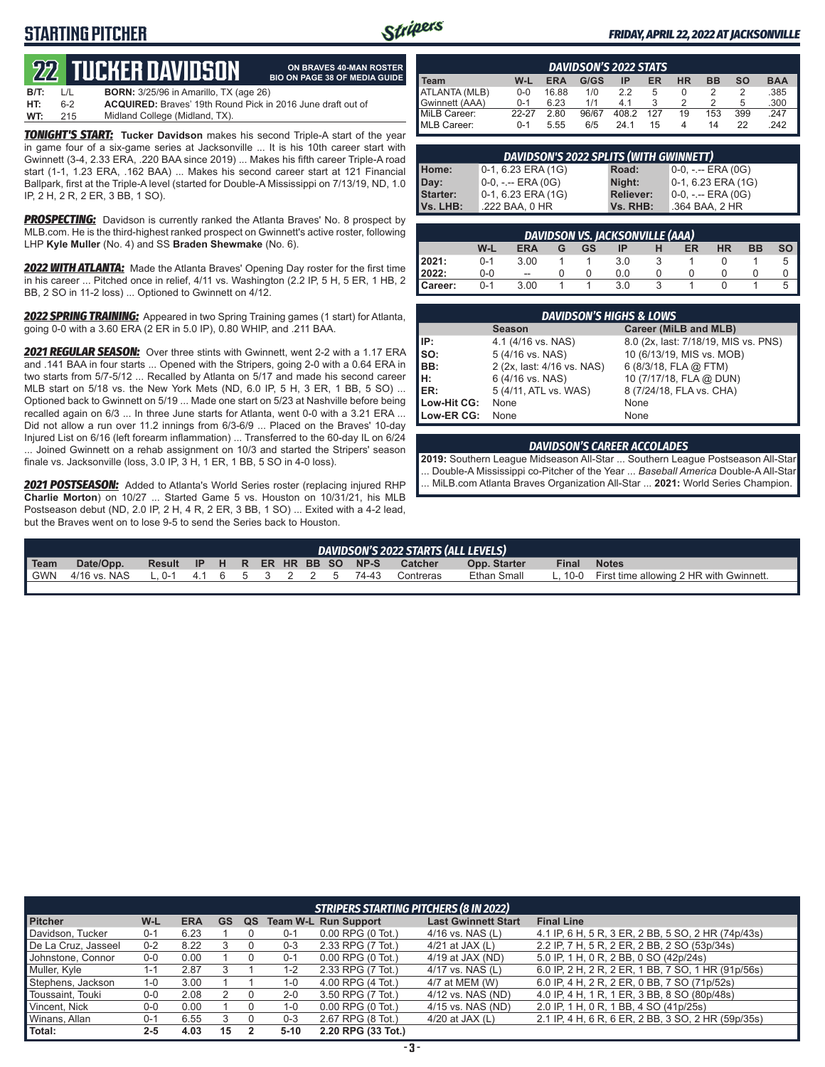### **STARTING PITCHER**



**ON BRAVES 40-MAN ROSTER**

### *FRIDAY, APRIL 22, 2022 AT JACKSONVILLE*

# **22****TUCKER DAVIDSON**

|      |              | 1744 TULNEN DAVIDƏDIY                                              | <b>BIO ON PAGE 38 OF MEDIA GUIDE</b> |
|------|--------------|--------------------------------------------------------------------|--------------------------------------|
| B/T: | $\mathbf{1}$ | <b>BORN:</b> 3/25/96 in Amarillo, TX (age 26)                      |                                      |
| HT:  | հ-2          | <b>ACQUIRED:</b> Braves' 19th Round Pick in 2016 June draft out of |                                      |
| WT:  | 215          | Midland College (Midland, TX).                                     |                                      |

*TONIGHT'S START:* **Tucker Davidson** makes his second Triple-A start of the year in game four of a six-game series at Jacksonville ... It is his 10th career start with Gwinnett (3-4, 2.33 ERA, .220 BAA since 2019) ... Makes his fifth career Triple-A road start (1-1, 1.23 ERA, .162 BAA) ... Makes his second career start at 121 Financial Ballpark, first at the Triple-A level (started for Double-A Mississippi on 7/13/19, ND, 1.0 IP, 2 H, 2 R, 2 ER, 3 BB, 1 SO).

**PROSPECTING:** Davidson is currently ranked the Atlanta Braves' No. 8 prospect by MLB.com. He is the third-highest ranked prospect on Gwinnett's active roster, following LHP **Kyle Muller** (No. 4) and SS **Braden Shewmake** (No. 6).

*2022 WITH ATLANTA:* Made the Atlanta Braves' Opening Day roster for the first time in his career ... Pitched once in relief, 4/11 vs. Washington (2.2 IP, 5 H, 5 ER, 1 HB, 2 BB, 2 SO in 11-2 loss) ... Optioned to Gwinnett on 4/12.

*2022 SPRING TRAINING:* Appeared in two Spring Training games (1 start) for Atlanta, going 0-0 with a 3.60 ERA (2 ER in 5.0 IP), 0.80 WHIP, and .211 BAA.

*2021 REGULAR SEASON:* Over three stints with Gwinnett, went 2-2 with a 1.17 ERA and .141 BAA in four starts ... Opened with the Stripers, going 2-0 with a 0.64 ERA in two starts from 5/7-5/12 ... Recalled by Atlanta on 5/17 and made his second career MLB start on 5/18 vs. the New York Mets (ND, 6.0 IP, 5 H, 3 ER, 1 BB, 5 SO) ... Optioned back to Gwinnett on 5/19 ... Made one start on 5/23 at Nashville before being recalled again on 6/3 ... In three June starts for Atlanta, went 0-0 with a 3.21 ERA ... Did not allow a run over 11.2 innings from 6/3-6/9 ... Placed on the Braves' 10-day Injured List on 6/16 (left forearm inflammation) ... Transferred to the 60-day IL on 6/24 ... Joined Gwinnett on a rehab assignment on 10/3 and started the Stripers' season finale vs. Jacksonville (loss, 3.0 IP, 3 H, 1 ER, 1 BB, 5 SO in 4-0 loss).

*2021 POSTSEASON:* Added to Atlanta's World Series roster (replacing injured RHP **Charlie Morton**) on 10/27 ... Started Game 5 vs. Houston on 10/31/21, his MLB Postseason debut (ND, 2.0 IP, 2 H, 4 R, 2 ER, 3 BB, 1 SO) ... Exited with a 4-2 lead, but the Braves went on to lose 9-5 to send the Series back to Houston.

| <b>DAVIDSON'S 2022 STATS</b> |         |            |       |       |     |           |           |     |            |
|------------------------------|---------|------------|-------|-------|-----|-----------|-----------|-----|------------|
| Team                         | W-L     | <b>ERA</b> | G/GS  | ΙP    | ER  | <b>HR</b> | <b>BB</b> | so  | <b>BAA</b> |
| ATLANTA (MLB)                | 0-0     | 16.88      | 1/0   | 22    | b   |           |           |     | .385       |
| Gwinnett (AAA)               | በ-1     | 6.23       | 1/1   |       |     |           |           | 5   | .300       |
| MiLB Career:                 | 22-27   | 2.80       | 96/67 | 408.2 | 127 | 19        | 153       | 399 | .247       |
| <b>IMLB Career:</b>          | $0 - 1$ | 5.55       | 6/5   | 24 1  | 15  |           | 14        | 22  | .242       |

| DAVIDSON'S 2022 SPLITS (WITH GWINNETT) |                       |           |                    |  |  |  |  |  |  |  |
|----------------------------------------|-----------------------|-----------|--------------------|--|--|--|--|--|--|--|
| Home:                                  | 0-1, 6.23 ERA (1G)    | Road:     | 0-0, -.-- ERA (0G) |  |  |  |  |  |  |  |
| Day:                                   | 0-0, -.-- ERA (0G)    | Night:    | 0-1, 6.23 ERA (1G) |  |  |  |  |  |  |  |
| Starter:                               | $0-1$ , 6.23 ERA (1G) | Reliever: | 0-0, -.-- ERA (0G) |  |  |  |  |  |  |  |
| Vs. LHB:                               | .222 BAA, 0 HR        | Vs. RHB:  | .364 BAA, 2 HR     |  |  |  |  |  |  |  |

|         | DAVIDSON VS. JACKSONVILLE (AAA) |                          |  |    |     |  |    |           |    |      |  |
|---------|---------------------------------|--------------------------|--|----|-----|--|----|-----------|----|------|--|
|         | W-L                             | ERA                      |  | GS | IP  |  | ER | <b>HR</b> | BB | so I |  |
| 12021:  | $0 - 1$                         | 3.00                     |  |    | 3.0 |  |    |           |    |      |  |
| 12022:  | $0-0$                           | $\overline{\phantom{a}}$ |  |    | 0.0 |  |    |           |    |      |  |
| Career: | $0 - 1$                         | 3.00                     |  |    | 3.0 |  |    |           |    |      |  |

|             | <b>DAVIDSON'S HIGHS &amp; LOWS</b> |                                      |  |  |  |  |  |  |  |  |  |
|-------------|------------------------------------|--------------------------------------|--|--|--|--|--|--|--|--|--|
|             | <b>Season</b>                      | Career (MiLB and MLB)                |  |  |  |  |  |  |  |  |  |
| IP:         | 4.1 (4/16 vs. NAS)                 | 8.0 (2x, last: 7/18/19, MIS vs. PNS) |  |  |  |  |  |  |  |  |  |
| Iso:        | 5 (4/16 vs. NAS)                   | 10 (6/13/19, MIS vs. MOB)            |  |  |  |  |  |  |  |  |  |
| BB:         | 2 (2x, last: 4/16 vs. NAS)         | 6 (8/3/18, FLA @ FTM)                |  |  |  |  |  |  |  |  |  |
| Iн:         | 6 (4/16 vs. NAS)                   | 10 (7/17/18, FLA @ DUN)              |  |  |  |  |  |  |  |  |  |
| ER:         | 5 (4/11, ATL vs. WAS)              | 8 (7/24/18, FLA vs. CHA)             |  |  |  |  |  |  |  |  |  |
| Low-Hit CG: | None                               | None                                 |  |  |  |  |  |  |  |  |  |
| Low-ER CG:  | None                               | None                                 |  |  |  |  |  |  |  |  |  |

#### *DAVIDSON'S CAREER ACCOLADES*

**2019:** Southern League Midseason All-Star ... Southern League Postseason All-Star ... Double-A Mississippi co-Pitcher of the Year ... *Baseball America* Double-A All-Star ... MiLB.com Atlanta Braves Organization All-Star ... **2021:** World Series Champion.

| DAVIDSON'S 2022 STARTS (ALL LEVELS) |                                     |                                |  |  |  |  |  |  |  |       |                |              |              |                                                 |
|-------------------------------------|-------------------------------------|--------------------------------|--|--|--|--|--|--|--|-------|----------------|--------------|--------------|-------------------------------------------------|
| $\blacksquare$ Team                 | Date/Opp.                           | Result IP H R ER HR BB SO NP-S |  |  |  |  |  |  |  |       | <b>Catcher</b> | Opp. Starter | <b>Final</b> | <b>Notes</b>                                    |
| I GWN                               | 4/16 vs. NAS L. 0-1 4.1 6 5 3 2 2 5 |                                |  |  |  |  |  |  |  | 74-43 | Contreras      | Ethan Small  |              | L. 10-0 First time allowing 2 HR with Gwinnett. |
|                                     |                                     |                                |  |  |  |  |  |  |  |       |                |              |              |                                                 |

|                     | <b>STRIPERS STARTING PITCHERS (8 IN 2022)</b> |            |    |    |         |                             |                            |                                                    |  |  |  |  |  |
|---------------------|-----------------------------------------------|------------|----|----|---------|-----------------------------|----------------------------|----------------------------------------------------|--|--|--|--|--|
| <b>Pitcher</b>      | W-L                                           | <b>ERA</b> | GS | QS |         | <b>Team W-L Run Support</b> | <b>Last Gwinnett Start</b> | <b>Final Line</b>                                  |  |  |  |  |  |
| Davidson, Tucker    | $0 - 1$                                       | 6.23       |    |    | $0 - 1$ | $0.00$ RPG $(0$ Tot.)       | $4/16$ vs. NAS (L)         | 4.1 IP, 6 H, 5 R, 3 ER, 2 BB, 5 SO, 2 HR (74p/43s) |  |  |  |  |  |
| De La Cruz, Jasseel | $0 - 2$                                       | 8.22       |    |    | $0 - 3$ | 2.33 RPG (7 Tot.)           | 4/21 at JAX $(L)$          | 2.2 IP, 7 H, 5 R, 2 ER, 2 BB, 2 SO (53p/34s)       |  |  |  |  |  |
| Johnstone, Connor   | $0 - 0$                                       | 0.00       |    |    | $0 - 1$ | $0.00$ RPG $(0$ Tot.)       | 4/19 at JAX (ND)           | 5.0 IP, 1 H, 0 R, 2 BB, 0 SO (42p/24s)             |  |  |  |  |  |
| Muller, Kyle        | 1-1                                           | 2.87       |    |    | $1 - 2$ | 2.33 RPG (7 Tot.)           | $4/17$ vs. NAS (L)         | 6.0 IP, 2 H, 2 R, 2 ER, 1 BB, 7 SO, 1 HR (91p/56s) |  |  |  |  |  |
| Stephens, Jackson   | $1 - 0$                                       | 3.00       |    |    | $1 - 0$ | 4.00 RPG (4 Tot.)           | 4/7 at MEM (W)             | 6.0 IP, 4 H, 2 R, 2 ER, 0 BB, 7 SO (71p/52s)       |  |  |  |  |  |
| Toussaint, Touki    | $0-0$                                         | 2.08       |    |    | $2 - 0$ | 3.50 RPG (7 Tot.)           | 4/12 vs. NAS (ND)          | 4.0 IP, 4 H, 1 R, 1 ER, 3 BB, 8 SO (80p/48s)       |  |  |  |  |  |
| Vincent, Nick       | $0-0$                                         | 0.00       |    |    | $1 - 0$ | $0.00$ RPG $(0$ Tot.)       | 4/15 vs. NAS (ND)          | 2.0 IP, 1 H, 0 R, 1 BB, 4 SO (41p/25s)             |  |  |  |  |  |
| Winans, Allan       | $0 - 1$                                       | 6.55       |    |    | $0 - 3$ | 2.67 RPG (8 Tot.)           | 4/20 at JAX $(L)$          | 2.1 IP, 4 H, 6 R, 6 ER, 2 BB, 3 SO, 2 HR (59p/35s) |  |  |  |  |  |
| Total:              | $2 - 5$                                       | 4.03       | 15 |    | 5-10    | 2.20 RPG (33 Tot.)          |                            |                                                    |  |  |  |  |  |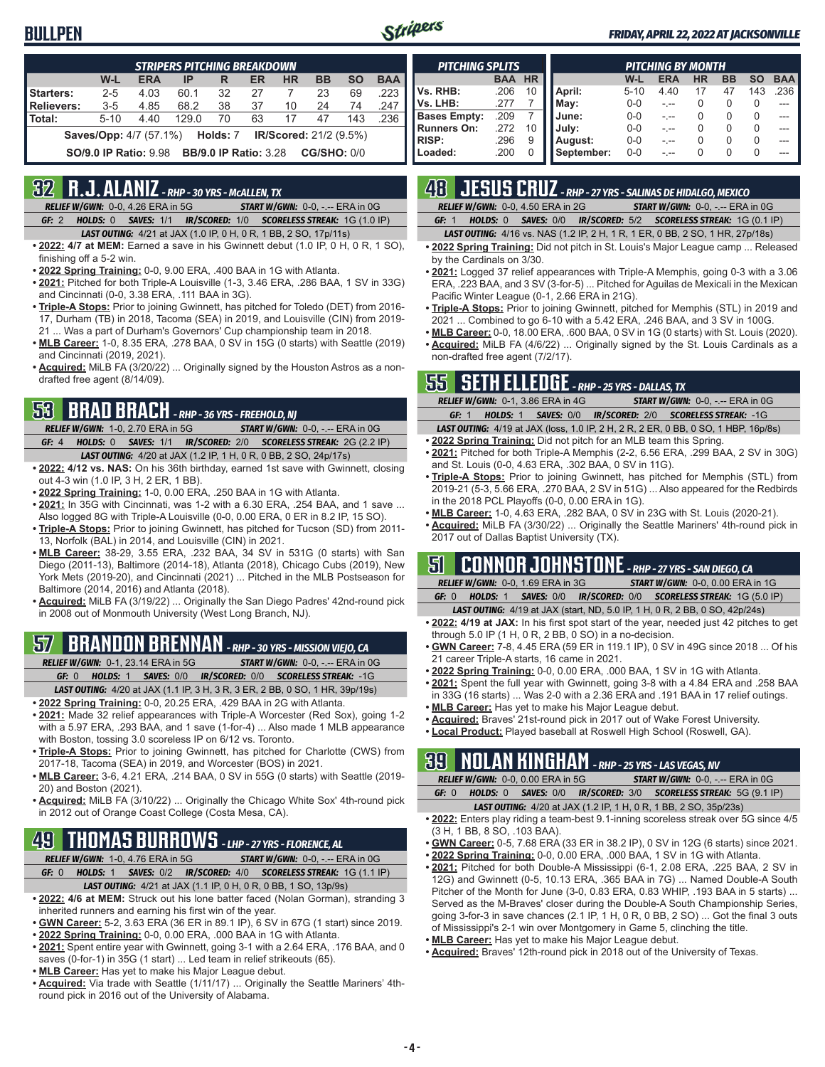### **BULLPEN**



#### *FRIDAY, APRIL 22, 2022 AT JACKSONVILLE*

| <b>STRIPERS PITCHING BREAKDOWN</b>                                                 |          |            |       |    |    |           |    |           |            |  |  |
|------------------------------------------------------------------------------------|----------|------------|-------|----|----|-----------|----|-----------|------------|--|--|
|                                                                                    | W-L      | <b>ERA</b> | IP    | R  | ER | <b>HR</b> | BB | <b>SO</b> | <b>BAA</b> |  |  |
| Starters:                                                                          | $2 - 5$  | 4.03       | 60.1  | 32 | 27 |           | 23 | 69        | .223       |  |  |
| Relievers:                                                                         | $3 - 5$  | 4.85       | 68.2  | 38 | 37 | 10        | 24 | 74        | .247       |  |  |
| Total:                                                                             | $5 - 10$ | 4.40       | 129.0 | 70 | 63 | 17        | 47 | 143       | .236       |  |  |
| <b>Saves/Opp:</b> 4/7 (57.1%) <b>Holds: 7 IR/Scored:</b> 21/2 (9.5%)               |          |            |       |    |    |           |    |           |            |  |  |
| <b>CG/SHO: 0/0</b><br><b>BB/9.0 IP Ratio: 3.28</b><br><b>SO/9.0 IP Ratio: 9.98</b> |          |            |       |    |    |           |    |           |            |  |  |

### **32 R.J. ALANIZ** *- RHP - 30 YRS - McALLEN, TX*

*RELIEF W/GWN:*0-0, 4.26 ERA in 5G *START W/GWN:*0-0, -.-- ERA in 0G *GF:*2 *HOLDS:*0 *SAVES:*1/1 *IR/SCORED:*1/0 *SCORELESS STREAK:*1G (1.0 IP)

- *LAST OUTING:*4/21 at JAX (1.0 IP, 0 H, 0 R, 1 BB, 2 SO, 17p/11s)
- **• 2022: 4/7 at MEM:** Earned a save in his Gwinnett debut (1.0 IP, 0 H, 0 R, 1 SO), finishing off a 5-2 win.
- **• 2022 Spring Training:** 0-0, 9.00 ERA, .400 BAA in 1G with Atlanta.
- **• 2021:** Pitched for both Triple-A Louisville (1-3, 3.46 ERA, .286 BAA, 1 SV in 33G) and Cincinnati (0-0, 3.38 ERA, .111 BAA in 3G).
- **• Triple-A Stops:** Prior to joining Gwinnett, has pitched for Toledo (DET) from 2016- 17, Durham (TB) in 2018, Tacoma (SEA) in 2019, and Louisville (CIN) from 2019- 21 ... Was a part of Durham's Governors' Cup championship team in 2018.
- **• MLB Career:** 1-0, 8.35 ERA, .278 BAA, 0 SV in 15G (0 starts) with Seattle (2019) and Cincinnati (2019, 2021).
- **• Acquired:** MiLB FA (3/20/22) ... Originally signed by the Houston Astros as a nondrafted free agent (8/14/09).

### **53 BRAD BRACH** *- RHP - 36 YRS - FREEHOLD, NJ*

*RELIEF W/GWN:*1-0, 2.70 ERA in 5G *START W/GWN:*0-0, -.-- ERA in 0G *GF:*4 *HOLDS:*0 *SAVES:*1/1 *IR/SCORED:*2/0 *SCORELESS STREAK:*2G (2.2 IP)

- *LAST OUTING:*4/20 at JAX (1.2 IP, 1 H, 0 R, 0 BB, 2 SO, 24p/17s)
- **• 2022: 4/12 vs. NAS:** On his 36th birthday, earned 1st save with Gwinnett, closing out 4-3 win (1.0 IP, 3 H, 2 ER, 1 BB).
- **• 2022 Spring Training:** 1-0, 0.00 ERA, .250 BAA in 1G with Atlanta.
- **• 2021:** In 35G with Cincinnati, was 1-2 with a 6.30 ERA, .254 BAA, and 1 save ... Also logged 8G with Triple-A Louisville (0-0, 0.00 ERA, 0 ER in 8.2 IP, 15 SO).
- **• Triple-A Stops:** Prior to joining Gwinnett, has pitched for Tucson (SD) from 2011- 13, Norfolk (BAL) in 2014, and Louisville (CIN) in 2021.
- **• MLB Career:** 38-29, 3.55 ERA, .232 BAA, 34 SV in 531G (0 starts) with San Diego (2011-13), Baltimore (2014-18), Atlanta (2018), Chicago Cubs (2019), New York Mets (2019-20), and Cincinnati (2021) ... Pitched in the MLB Postseason for Baltimore (2014, 2016) and Atlanta (2018).
- **• Acquired:** MiLB FA (3/19/22) ... Originally the San Diego Padres' 42nd-round pick in 2008 out of Monmouth University (West Long Branch, NJ).

# **57 BRANDON BRENNAN** *- RHP - 30 YRS - MISSION VIEJO, CA*

*RELIEF W/GWN:*0-1, 23.14 ERA in 5G *START W/GWN:*0-0, -.-- ERA in 0G

*GF:*0 *HOLDS:*1 *SAVES:*0/0 *IR/SCORED:*0/0 *SCORELESS STREAK:*-1G *LAST OUTING:*4/20 at JAX (1.1 IP, 3 H, 3 R, 3 ER, 2 BB, 0 SO, 1 HR, 39p/19s)

- **• 2022 Spring Training:** 0-0, 20.25 ERA, .429 BAA in 2G with Atlanta.
- **• 2021:** Made 32 relief appearances with Triple-A Worcester (Red Sox), going 1-2 with a 5.97 ERA, .293 BAA, and 1 save (1-for-4) ... Also made 1 MLB appearance with Boston, tossing 3.0 scoreless IP on 6/12 vs. Toronto.
- **• Triple-A Stops:** Prior to joining Gwinnett, has pitched for Charlotte (CWS) from 2017-18, Tacoma (SEA) in 2019, and Worcester (BOS) in 2021.
- **• MLB Career:** 3-6, 4.21 ERA, .214 BAA, 0 SV in 55G (0 starts) with Seattle (2019- 20) and Boston (2021).
- **• Acquired:** MiLB FA (3/10/22) ... Originally the Chicago White Sox' 4th-round pick in 2012 out of Orange Coast College (Costa Mesa, CA).

### **49 THOMAS BURROWS** *- LHP - 27 YRS - FLORENCE, AL*

*RELIEF W/GWN:*1-0, 4.76 ERA in 5G *START W/GWN:*0-0, -.-- ERA in 0G

*GF:*0 *HOLDS:*1 *SAVES:*0/2 *IR/SCORED:*4/0 *SCORELESS STREAK:*1G (1.1 IP)

- *LAST OUTING:*4/21 at JAX (1.1 IP, 0 H, 0 R, 0 BB, 1 SO, 13p/9s) **• 2022: 4/6 at MEM:** Struck out his lone batter faced (Nolan Gorman), stranding 3
- inherited runners and earning his first win of the year. **• GWN Career:** 5-2, 3.63 ERA (36 ER in 89.1 IP), 6 SV in 67G (1 start) since 2019.
- **• 2022 Spring Training:** 0-0, 0.00 ERA, .000 BAA in 1G with Atlanta.
- **• 2021:** Spent entire year with Gwinnett, going 3-1 with a 2.64 ERA, .176 BAA, and 0 saves (0-for-1) in 35G (1 start) ... Led team in relief strikeouts (65).
- **• MLB Career:** Has yet to make his Major League debut.
- **• Acquired:** Via trade with Seattle (1/11/17) ... Originally the Seattle Mariners' 4thround pick in 2016 out of the University of Alabama.

| <b>PITCHING SPLITS</b> |            |           |            | <b>PITCHING BY MONTH</b> |            |           |                  |           |            |  |  |  |
|------------------------|------------|-----------|------------|--------------------------|------------|-----------|------------------|-----------|------------|--|--|--|
|                        | <b>BAA</b> | <b>HR</b> |            | W-L                      | <b>ERA</b> | <b>HR</b> | <b>BB</b>        | <b>SO</b> | <b>BAA</b> |  |  |  |
| Vs. RHB:               | .206       | 10        | April:     | $5 - 10$                 | 4.40       |           | 47               | 143       | .236       |  |  |  |
| Vs. LHB:               | .277       |           | May:       | $0 - 0$                  |            |           |                  | 0         | ---        |  |  |  |
| <b>Bases Empty:</b>    | .209       |           | June:      | $0 - 0$                  |            |           |                  | 0         | ---        |  |  |  |
| <b>Runners On:</b>     | .272       |           | July:      | $0 - 0$                  |            |           | $\left( \right)$ | 0         | ---        |  |  |  |
| <b>RISP:</b>           | .296       | 9         | August:    | $0 - 0$                  |            |           |                  | 0         | ---        |  |  |  |
| Loaded:                | .200       | 0         | September: | $0 - 0$                  |            |           |                  | 0         | ---        |  |  |  |

# **48 JESUS CRUZ** *- RHP - 27 YRS - SALINAS DE HIDALGO, MEXICO*

*RELIEF W/GWN:*0-0, 4.50 ERA in 2G *START W/GWN:*0-0, -.-- ERA in 0G *GF:*1 *HOLDS:*0 *SAVES:*0/0 *IR/SCORED:*5/2 *SCORELESS STREAK:*1G (0.1 IP)

*LAST OUTING:*4/16 vs. NAS (1.2 IP, 2 H, 1 R, 1 ER, 0 BB, 2 SO, 1 HR, 27p/18s)

- **• 2022 Spring Training:** Did not pitch in St. Louis's Major League camp ... Released by the Cardinals on 3/30.
- **• 2021:** Logged 37 relief appearances with Triple-A Memphis, going 0-3 with a 3.06 ERA, .223 BAA, and 3 SV (3-for-5) ... Pitched for Aguilas de Mexicali in the Mexican Pacific Winter League (0-1, 2.66 ERA in 21G).
- **• Triple-A Stops:** Prior to joining Gwinnett, pitched for Memphis (STL) in 2019 and 2021 ... Combined to go 6-10 with a 5.42 ERA, .246 BAA, and 3 SV in 100G.
- **• MLB Career:** 0-0, 18.00 ERA, .600 BAA, 0 SV in 1G (0 starts) with St. Louis (2020). **• Acquired:** MiLB FA (4/6/22) ... Originally signed by the St. Louis Cardinals as a non-drafted free agent (7/2/17).

### **55 SETH ELLEDGE** *- RHP - 25 YRS - DALLAS, TX*

| <b>RELIEF W/GWN: 0-1, 3.86 ERA in 4G</b> | <b>START W/GWN: 0-0, -.-- ERA in 0G</b>                                                   |
|------------------------------------------|-------------------------------------------------------------------------------------------|
| GF: 1                                    | <b>HOLDS: 1 SAVES: 0/0 IR/SCORED: 2/0 SCORELESS STREAK: -1G</b>                           |
|                                          | <b>LAST OUTING:</b> 4/19 at JAX (loss, 1.0 IP, 2 H, 2 R, 2 ER, 0 BB, 0 SO, 1 HBP, 16p/8s) |

- **• 2022 Spring Training:** Did not pitch for an MLB team this Spring. **• 2021:** Pitched for both Triple-A Memphis (2-2, 6.56 ERA, .299 BAA, 2 SV in 30G)
- and St. Louis (0-0, 4.63 ERA, .302 BAA, 0 SV in 11G). **• Triple-A Stops:** Prior to joining Gwinnett, has pitched for Memphis (STL) from 2019-21 (5-3, 5.66 ERA, .270 BAA, 2 SV in 51G) ... Also appeared for the Redbirds in the 2018 PCL Playoffs (0-0, 0.00 ERA in 1G).
- **• MLB Career:** 1-0, 4.63 ERA, .282 BAA, 0 SV in 23G with St. Louis (2020-21).
- **• Acquired:** MiLB FA (3/30/22) ... Originally the Seattle Mariners' 4th-round pick in 2017 out of Dallas Baptist University (TX).

### **51 CONNOR JOHNSTONE** *- RHP - 27 YRS - SAN DIEGO, CA*

*RELIEF W/GWN:*0-0, 1.69 ERA in 3G *START W/GWN:*0-0, 0.00 ERA in 1G *GF:*0 *HOLDS:*1 *SAVES:*0/0 *IR/SCORED:*0/0 *SCORELESS STREAK:*1G (5.0 IP)

- *LAST OUTING:*4/19 at JAX (start, ND, 5.0 IP, 1 H, 0 R, 2 BB, 0 SO, 42p/24s)
- **• 2022: 4/19 at JAX:** In his first spot start of the year, needed just 42 pitches to get through 5.0 IP (1 H, 0 R, 2 BB, 0 SO) in a no-decision.
- **• GWN Career:** 7-8, 4.45 ERA (59 ER in 119.1 IP), 0 SV in 49G since 2018 ... Of his 21 career Triple-A starts, 16 came in 2021.
- **• 2022 Spring Training:** 0-0, 0.00 ERA, .000 BAA, 1 SV in 1G with Atlanta.
- **• 2021:** Spent the full year with Gwinnett, going 3-8 with a 4.84 ERA and .258 BAA in 33G (16 starts) ... Was 2-0 with a 2.36 ERA and .191 BAA in 17 relief outings.
- **• MLB Career:** Has yet to make his Major League debut.
- **• Acquired:** Braves' 21st-round pick in 2017 out of Wake Forest University.
- **• Local Product:** Played baseball at Roswell High School (Roswell, GA).

### **39 NOLAN KINGHAM** *- RHP - 25 YRS - LAS VEGAS, NV*

|       | <b>RELIEF W/GWN: 0-0.0.00 ERA in 5G</b> | <b>START W/GWN: <math>0-0</math>.</b> -.-- ERA in $0G$                  |
|-------|-----------------------------------------|-------------------------------------------------------------------------|
| GF: 0 |                                         | <b>HOLDS: 0 SAVES: 0/0 IR/SCORED: 3/0 SCORELESS STREAK: 5G (9.1 IP)</b> |
|       |                                         |                                                                         |

- *LAST OUTING:*4/20 at JAX (1.2 IP, 1 H, 0 R, 1 BB, 2 SO, 35p/23s)
- **• 2022:** Enters play riding a team-best 9.1-inning scoreless streak over 5G since 4/5 (3 H, 1 BB, 8 SO, .103 BAA).
- **• GWN Career:** 0-5, 7.68 ERA (33 ER in 38.2 IP), 0 SV in 12G (6 starts) since 2021.
- **• 2022 Spring Training:** 0-0, 0.00 ERA, .000 BAA, 1 SV in 1G with Atlanta.
- **• 2021:** Pitched for both Double-A Mississippi (6-1, 2.08 ERA, .225 BAA, 2 SV in 12G) and Gwinnett (0-5, 10.13 ERA, .365 BAA in 7G) ... Named Double-A South Pitcher of the Month for June (3-0, 0.83 ERA, 0.83 WHIP, .193 BAA in 5 starts) ... Served as the M-Braves' closer during the Double-A South Championship Series, going 3-for-3 in save chances (2.1 IP, 1 H, 0 R, 0 BB, 2 SO) ... Got the final 3 outs of Mississippi's 2-1 win over Montgomery in Game 5, clinching the title.
- **• MLB Career:** Has yet to make his Major League debut.
- **• Acquired:** Braves' 12th-round pick in 2018 out of the University of Texas.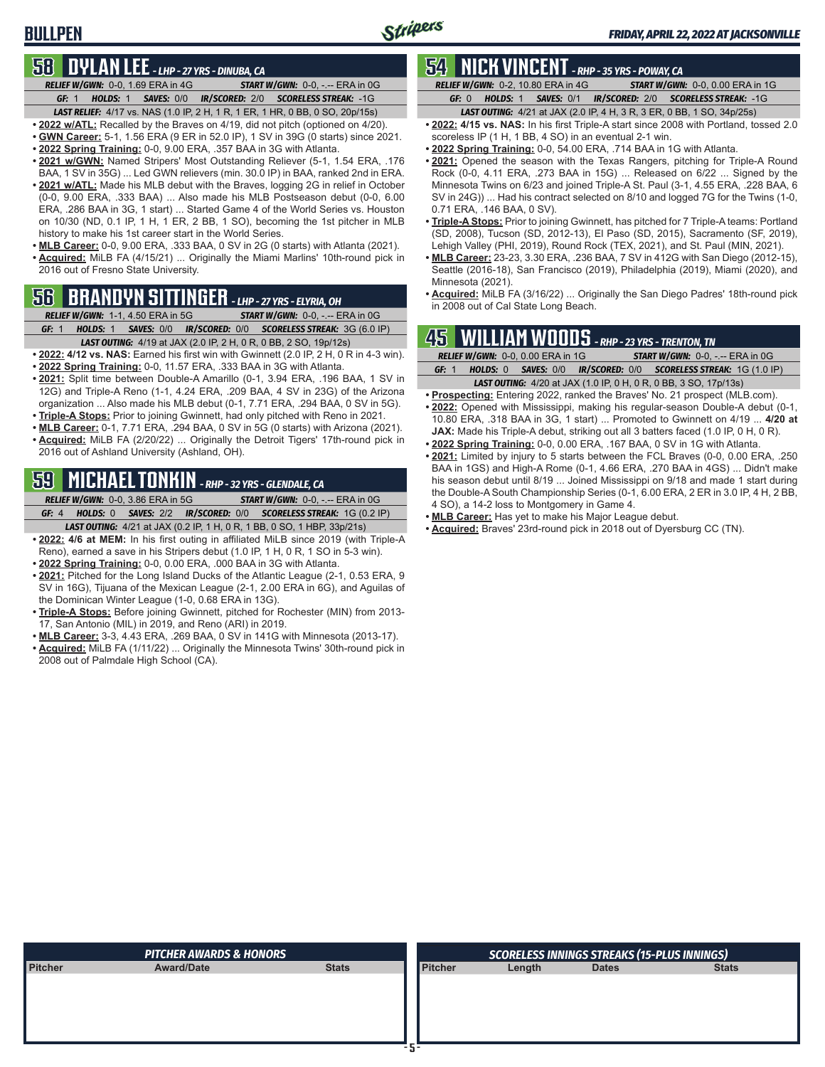**BULLPEN**

# **58 DYLAN LEE** *- LHP - 27 YRS - DINUBA, CA*

*RELIEF W/GWN:*0-0, 1.69 ERA in 4G *START W/GWN:*0-0, -.-- ERA in 0G *GF:*1 *HOLDS:*1 *SAVES:*0/0 *IR/SCORED:*2/0 *SCORELESS STREAK:*-1G

*LAST RELIEF:*4/17 vs. NAS (1.0 IP, 2 H, 1 R, 1 ER, 1 HR, 0 BB, 0 SO, 20p/15s) **• 2022 w/ATL:** Recalled by the Braves on 4/19, did not pitch (optioned on 4/20).

- **• GWN Career:** 5-1, 1.56 ERA (9 ER in 52.0 IP), 1 SV in 39G (0 starts) since 2021.
- **• 2022 Spring Training:** 0-0, 9.00 ERA, .357 BAA in 3G with Atlanta.
- **• 2021 w/GWN:** Named Stripers' Most Outstanding Reliever (5-1, 1.54 ERA, .176 BAA, 1 SV in 35G) ... Led GWN relievers (min. 30.0 IP) in BAA, ranked 2nd in ERA.
- **• 2021 w/ATL:** Made his MLB debut with the Braves, logging 2G in relief in October (0-0, 9.00 ERA, .333 BAA) ... Also made his MLB Postseason debut (0-0, 6.00 ERA, .286 BAA in 3G, 1 start) ... Started Game 4 of the World Series vs. Houston on 10/30 (ND, 0.1 IP, 1 H, 1 ER, 2 BB, 1 SO), becoming the 1st pitcher in MLB history to make his 1st career start in the World Series.
- **• MLB Career:** 0-0, 9.00 ERA, .333 BAA, 0 SV in 2G (0 starts) with Atlanta (2021). **• Acquired:** MiLB FA (4/15/21) ... Originally the Miami Marlins' 10th-round pick in 2016 out of Fresno State University.

# **56 BRANDYN SITTINGER** *- LHP - 27 YRS - ELYRIA, OH*

*RELIEF W/GWN:*1-1, 4.50 ERA in 5G *START W/GWN:*0-0, -.-- ERA in 0G *GF:*1 *HOLDS:*1 *SAVES:*0/0 *IR/SCORED:*0/0 *SCORELESS STREAK:*3G (6.0 IP)

- *LAST OUTING:*4/19 at JAX (2.0 IP, 2 H, 0 R, 0 BB, 2 SO, 19p/12s)
- **• 2022: 4/12 vs. NAS:** Earned his first win with Gwinnett (2.0 IP, 2 H, 0 R in 4-3 win). **• 2022 Spring Training:** 0-0, 11.57 ERA, .333 BAA in 3G with Atlanta.
- **• 2021:** Split time between Double-A Amarillo (0-1, 3.94 ERA, .196 BAA, 1 SV in 12G) and Triple-A Reno (1-1, 4.24 ERA, .209 BAA, 4 SV in 23G) of the Arizona organization ... Also made his MLB debut (0-1, 7.71 ERA, .294 BAA, 0 SV in 5G).
- **• Triple-A Stops:** Prior to joining Gwinnett, had only pitched with Reno in 2021.
- **• MLB Career:** 0-1, 7.71 ERA, .294 BAA, 0 SV in 5G (0 starts) with Arizona (2021).
- **• Acquired:** MiLB FA (2/20/22) ... Originally the Detroit Tigers' 17th-round pick in 2016 out of Ashland University (Ashland, OH).

## **59 MICHAEL TONKIN** *- RHP - 32 YRS - GLENDALE, CA*

*RELIEF W/GWN:*0-0, 3.86 ERA in 5G *START W/GWN:*0-0, -.-- ERA in 0G *GF:*4 *HOLDS:*0 *SAVES:*2/2 *IR/SCORED:*0/0 *SCORELESS STREAK:*1G (0.2 IP)

- *LAST OUTING:*4/21 at JAX (0.2 IP, 1 H, 0 R, 1 BB, 0 SO, 1 HBP, 33p/21s)
- **• 2022: 4/6 at MEM:** In his first outing in affiliated MiLB since 2019 (with Triple-A Reno), earned a save in his Stripers debut (1.0 IP, 1 H, 0 R, 1 SO in 5-3 win).
- **• 2022 Spring Training:** 0-0, 0.00 ERA, .000 BAA in 3G with Atlanta.
- **• 2021:** Pitched for the Long Island Ducks of the Atlantic League (2-1, 0.53 ERA, 9 SV in 16G), Tijuana of the Mexican League (2-1, 2.00 ERA in 6G), and Aguilas of the Dominican Winter League (1-0, 0.68 ERA in 13G).
- **• Triple-A Stops:** Before joining Gwinnett, pitched for Rochester (MIN) from 2013- 17, San Antonio (MIL) in 2019, and Reno (ARI) in 2019.
- **• MLB Career:** 3-3, 4.43 ERA, .269 BAA, 0 SV in 141G with Minnesota (2013-17).
- **• Acquired:** MiLB FA (1/11/22) ... Originally the Minnesota Twins' 30th-round pick in 2008 out of Palmdale High School (CA).

# **54 NICK VINCENT** *- RHP - 35 YRS - POWAY, CA*

*RELIEF W/GWN:*0-2, 10.80 ERA in 4G *START W/GWN:*0-0, 0.00 ERA in 1G *GF:*0 *HOLDS:*1 *SAVES:*0/1 *IR/SCORED:*2/0 *SCORELESS STREAK:*-1G

- *LAST OUTING:*4/21 at JAX (2.0 IP, 4 H, 3 R, 3 ER, 0 BB, 1 SO, 34p/25s) **• 2022: 4/15 vs. NAS:** In his first Triple-A start since 2008 with Portland, tossed 2.0 scoreless IP (1 H, 1 BB, 4 SO) in an eventual 2-1 win.
- **• 2022 Spring Training:** 0-0, 54.00 ERA, .714 BAA in 1G with Atlanta.
- **• 2021:** Opened the season with the Texas Rangers, pitching for Triple-A Round Rock (0-0, 4.11 ERA, .273 BAA in 15G) ... Released on 6/22 ... Signed by the Minnesota Twins on 6/23 and joined Triple-A St. Paul (3-1, 4.55 ERA, .228 BAA, 6 SV in 24G)) ... Had his contract selected on 8/10 and logged 7G for the Twins (1-0, 0.71 ERA, .146 BAA, 0 SV).
- **• Triple-A Stops:** Prior to joining Gwinnett, has pitched for 7 Triple-A teams: Portland (SD, 2008), Tucson (SD, 2012-13), El Paso (SD, 2015), Sacramento (SF, 2019), Lehigh Valley (PHI, 2019), Round Rock (TEX, 2021), and St. Paul (MIN, 2021).
- **• MLB Career:** 23-23, 3.30 ERA, .236 BAA, 7 SV in 412G with San Diego (2012-15), Seattle (2016-18), San Francisco (2019), Philadelphia (2019), Miami (2020), and Minnesota (2021).
- **• Acquired:** MiLB FA (3/16/22) ... Originally the San Diego Padres' 18th-round pick in 2008 out of Cal State Long Beach.

### **45 WILLIAM WOODS** *- RHP - 23 YRS - TRENTON, TN*

- *RELIEF W/GWN:*0-0, 0.00 ERA in 1G *START W/GWN:*0-0, -.-- ERA in 0G *GF:*1 *HOLDS:*0 *SAVES:*0/0 *IR/SCORED:*0/0 *SCORELESS STREAK:*1G (1.0 IP) *LAST OUTING:*4/20 at JAX (1.0 IP, 0 H, 0 R, 0 BB, 3 SO, 17p/13s)
- **• Prospecting:** Entering 2022, ranked the Braves' No. 21 prospect (MLB.com).
- **• 2022:** Opened with Mississippi, making his regular-season Double-A debut (0-1, 10.80 ERA, .318 BAA in 3G, 1 start) ... Promoted to Gwinnett on 4/19 ... **4/20 at JAX:** Made his Triple-A debut, striking out all 3 batters faced (1.0 IP, 0 H, 0 R).
- **• 2022 Spring Training:** 0-0, 0.00 ERA, .167 BAA, 0 SV in 1G with Atlanta.
- **• 2021:** Limited by injury to 5 starts between the FCL Braves (0-0, 0.00 ERA, .250 BAA in 1GS) and High-A Rome (0-1, 4.66 ERA, .270 BAA in 4GS) ... Didn't make his season debut until 8/19 ... Joined Mississippi on 9/18 and made 1 start during the Double-A South Championship Series (0-1, 6.00 ERA, 2 ER in 3.0 IP, 4 H, 2 BB, 4 SO), a 14-2 loss to Montgomery in Game 4.
- **• MLB Career:** Has yet to make his Major League debut.
- **• Acquired:** Braves' 23rd-round pick in 2018 out of Dyersburg CC (TN).

|                | <b>PITCHER AWARDS &amp; HONORS</b> |              |                | SCORELESS INNINGS STREAKS (15-PLUS INNINGS) |              |              |  |  |
|----------------|------------------------------------|--------------|----------------|---------------------------------------------|--------------|--------------|--|--|
| <b>Pitcher</b> | <b>Award/Date</b>                  | <b>Stats</b> | <b>Pitcher</b> | Length                                      | <b>Dates</b> | <b>Stats</b> |  |  |
|                |                                    |              |                |                                             |              |              |  |  |
|                |                                    |              |                |                                             |              |              |  |  |
|                |                                    |              |                |                                             |              |              |  |  |
|                |                                    |              |                |                                             |              |              |  |  |
|                |                                    |              |                |                                             |              |              |  |  |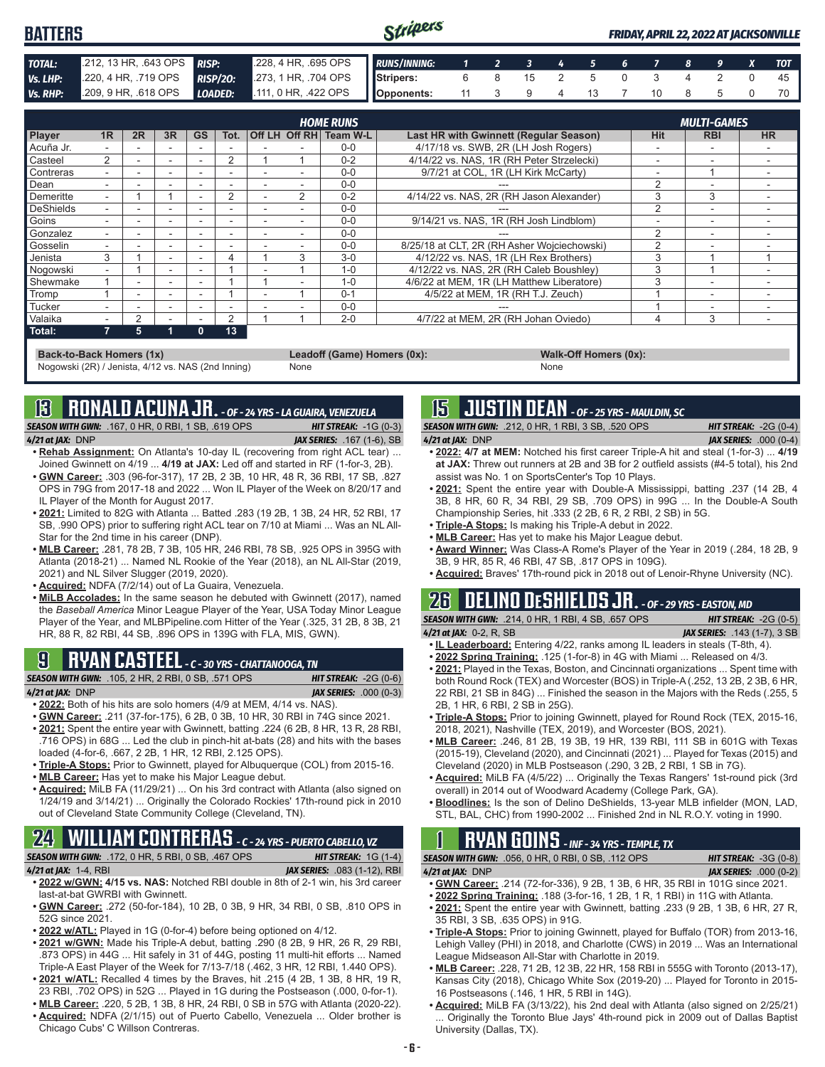#### Stripers **BATTERS** *FRIDAY, APRIL 22, 2022 AT JACKSONVILLE TOTAL:* .212, 13 HR, .643 OPS *RISP:* .228, 4 HR, .695 OPS *RUNS/INNING: 1 2 3 4 5 6 7 8 9 X TOT Vs. LHP:* .220, 4 HR, .719 OPS *RISP/2O:* .273, 1 HR, .704 OPS **Stripers:** 6 8 15 2 5 0 3 4 2 0 45 *Vs. RHP:* .209, 9 HR, .618 OPS *LOADED:* .111, 0 HR, .422 OPS **Opponents:** 11 3 9 4 13 7 10 8 5 0 70

|                  |                          |    |                          |              |      |               | <b>HOME RUNS</b>       |                                             | <b>MULTI-GAMES</b> |            |           |  |
|------------------|--------------------------|----|--------------------------|--------------|------|---------------|------------------------|---------------------------------------------|--------------------|------------|-----------|--|
| <b>Player</b>    | 1R                       | 2R | 3R                       | <b>GS</b>    | Tot. |               | Off LH Off RH Team W-L | Last HR with Gwinnett (Regular Season)      | <b>Hit</b>         | <b>RBI</b> | <b>HR</b> |  |
| Acuña Jr.        |                          |    | $\overline{\phantom{0}}$ |              |      |               | $0 - 0$                | 4/17/18 vs. SWB, 2R (LH Josh Rogers)        |                    |            |           |  |
| Casteel          | 2                        |    | $\overline{\phantom{a}}$ |              | 2    |               | $0 - 2$                | 4/14/22 vs. NAS, 1R (RH Peter Strzelecki)   | -                  | -          |           |  |
| Contreras        |                          |    | $\overline{\phantom{0}}$ |              | ۰    |               | $0 - 0$                | 9/7/21 at COL, 1R (LH Kirk McCarty)         | -                  |            |           |  |
| Dean             |                          |    | $\overline{\phantom{0}}$ |              |      |               | $0 - 0$                |                                             | 2                  |            |           |  |
| Demeritte        | $\sim$                   |    |                          |              | 2    | $\mathcal{P}$ | $0 - 2$                | 4/14/22 vs. NAS, 2R (RH Jason Alexander)    | 3                  | 3          |           |  |
| <b>DeShields</b> | $\overline{\phantom{a}}$ |    | <b>.</b>                 |              |      |               | $0 - 0$                |                                             | $\mathcal{P}$      | ۰          |           |  |
| Goins            |                          |    | $\overline{a}$           |              |      |               | $0 - 0$                | 9/14/21 vs. NAS, 1R (RH Josh Lindblom)      |                    | ۰          |           |  |
| Gonzalez         | ۰.                       |    | $\overline{\phantom{a}}$ |              | -    |               | $0 - 0$                |                                             | $\mathfrak{p}$     | ۰          |           |  |
| Gosselin         | ۰.                       |    | $\overline{a}$           |              |      |               | $0 - 0$                | 8/25/18 at CLT, 2R (RH Asher Wojciechowski) | ◠                  |            |           |  |
| Jenista          | 3                        |    | $\overline{\phantom{a}}$ |              |      | 3             | $3-0$                  | 4/12/22 vs. NAS, 1R (LH Rex Brothers)       | 3                  |            |           |  |
| Nogowski         | ۰.                       |    | $\overline{\phantom{a}}$ |              |      |               | $1 - 0$                | 4/12/22 vs. NAS, 2R (RH Caleb Boushley)     | 3                  |            |           |  |
| Shewmake         |                          |    | $\overline{a}$           |              |      |               | $1 - 0$                | 4/6/22 at MEM. 1R (LH Matthew Liberatore)   | 3                  |            |           |  |
| Tromp            |                          |    | <b>.</b>                 |              |      |               | $0 - 1$                | 4/5/22 at MEM, 1R (RH T.J. Zeuch)           |                    | ۰          |           |  |
| Tucker           |                          |    | $\overline{\phantom{0}}$ |              |      |               | $0 - 0$                |                                             |                    |            |           |  |
| Valaika          |                          | 2  | $\overline{\phantom{0}}$ |              | 2    |               | $2 - 0$                | 4/7/22 at MEM, 2R (RH Johan Oviedo)         |                    | 3          |           |  |
| Total:           |                          | 5  | и                        | $\mathbf{0}$ | 13   |               |                        |                                             |                    |            |           |  |

**Back-to-Back Homers (1x) Leadoff (Game) Homers (0x): Walk-Off Homers (0x): Walk-Off Homers (0x): None None** Nogowski (2R) / Jenista, 4/12 vs. NAS (2nd Inning)

### **13 RONALD ACUNA JR.** *- OF - 24 YRS - LA GUAIRA, VENEZUELA*

*SEASON WITH GWN:*.167, 0 HR, 0 RBI, 1 SB, .619 OPS *HIT STREAK:* -1G (0-3) *4/21 at JAX:*DNP *JAX SERIES:* .167 (1-6), SB

- **• Rehab Assignment:** On Atlanta's 10-day IL (recovering from right ACL tear) ... Joined Gwinnett on 4/19 ... **4/19 at JAX:** Led off and started in RF (1-for-3, 2B).
- **• GWN Career:** .303 (96-for-317), 17 2B, 2 3B, 10 HR, 48 R, 36 RBI, 17 SB, .827 OPS in 79G from 2017-18 and 2022 ... Won IL Player of the Week on 8/20/17 and IL Player of the Month for August 2017.
- **• 2021:** Limited to 82G with Atlanta ... Batted .283 (19 2B, 1 3B, 24 HR, 52 RBI, 17 SB, .990 OPS) prior to suffering right ACL tear on 7/10 at Miami ... Was an NL All-Star for the 2nd time in his career (DNP).
- **• MLB Career:** .281, 78 2B, 7 3B, 105 HR, 246 RBI, 78 SB, .925 OPS in 395G with Atlanta (2018-21) ... Named NL Rookie of the Year (2018), an NL All-Star (2019, 2021) and NL Silver Slugger (2019, 2020).
- **• Acquired:** NDFA (7/2/14) out of La Guaira, Venezuela.
- **• MiLB Accolades:** In the same season he debuted with Gwinnett (2017), named the *Baseball America* Minor League Player of the Year, USA Today Minor League Player of the Year, and MLBPipeline.com Hitter of the Year (.325, 31 2B, 8 3B, 21 HR, 88 R, 82 RBI, 44 SB, .896 OPS in 139G with FLA, MIS, GWN).

# **9 RYAN CASTEEL** *- C - 30 YRS - CHATTANOOGA, TN*

*SEASON WITH GWN:*.105, 2 HR, 2 RBI, 0 SB, .571 OPS *HIT STREAK:* -2G (0-6) *4/21 at JAX:*DNP *JAX SERIES:* .000 (0-3)

- 
- **• 2022:** Both of his hits are solo homers (4/9 at MEM, 4/14 vs. NAS).
- **• GWN Career:** .211 (37-for-175), 6 2B, 0 3B, 10 HR, 30 RBI in 74G since 2021.
- **• 2021:** Spent the entire year with Gwinnett, batting .224 (6 2B, 8 HR, 13 R, 28 RBI, .716 OPS) in 68G ... Led the club in pinch-hit at-bats (28) and hits with the bases loaded (4-for-6, .667, 2 2B, 1 HR, 12 RBI, 2.125 OPS).
- **• Triple-A Stops:** Prior to Gwinnett, played for Albuquerque (COL) from 2015-16.
- **• MLB Career:** Has yet to make his Major League debut.
- **• Acquired:** MiLB FA (11/29/21) ... On his 3rd contract with Atlanta (also signed on 1/24/19 and 3/14/21) ... Originally the Colorado Rockies' 17th-round pick in 2010 out of Cleveland State Community College (Cleveland, TN).

# **24 WILLIAM CONTRERAS** *- C - 24 YRS - PUERTO CABELLO, VZ*

*SEASON WITH GWN:*.172, 0 HR, 5 RBI, 0 SB, .467 OPS *HIT STREAK:* 1G (1-4) *4/21 at JAX:*1-4, RBI *JAX SERIES:* .083 (1-12), RBI

- **• 2022 w/GWN: 4/15 vs. NAS:** Notched RBI double in 8th of 2-1 win, his 3rd career last-at-bat GWRBI with Gwinnett.
- **• GWN Career:** .272 (50-for-184), 10 2B, 0 3B, 9 HR, 34 RBI, 0 SB, .810 OPS in 52G since 2021.
- **• 2022 w/ATL:** Played in 1G (0-for-4) before being optioned on 4/12.
- **• 2021 w/GWN:** Made his Triple-A debut, batting .290 (8 2B, 9 HR, 26 R, 29 RBI, .873 OPS) in 44G ... Hit safely in 31 of 44G, posting 11 multi-hit efforts ... Named Triple-A East Player of the Week for 7/13-7/18 (.462, 3 HR, 12 RBI, 1.440 OPS). **• 2021 w/ATL:** Recalled 4 times by the Braves, hit .215 (4 2B, 1 3B, 8 HR, 19 R,
- 23 RBI, .702 OPS) in 52G ... Played in 1G during the Postseason (.000, 0-for-1). **• MLB Career:** .220, 5 2B, 1 3B, 8 HR, 24 RBI, 0 SB in 57G with Atlanta (2020-22).
- **• Acquired:** NDFA (2/1/15) out of Puerto Cabello, Venezuela ... Older brother is
- Chicago Cubs' C Willson Contreras.

### **15 JUSTIN DEAN** *- OF - 25 YRS - MAULDIN, SC*

*SEASON WITH GWN:*.212, 0 HR, 1 RBI, 3 SB, .520 OPS *HIT STREAK:* -2G (0-4) *4/21 at JAX:*DNP *JAX SERIES:* .000 (0-4)

- **• 2022: 4/7 at MEM:** Notched his first career Triple-A hit and steal (1-for-3) ... **4/19 at JAX:** Threw out runners at 2B and 3B for 2 outfield assists (#4-5 total), his 2nd assist was No. 1 on SportsCenter's Top 10 Plays.
- **• 2021:** Spent the entire year with Double-A Mississippi, batting .237 (14 2B, 4 3B, 8 HR, 60 R, 34 RBI, 29 SB, .709 OPS) in 99G ... In the Double-A South Championship Series, hit .333 (2 2B, 6 R, 2 RBI, 2 SB) in 5G.
- **• Triple-A Stops:** Is making his Triple-A debut in 2022.
- **• MLB Career:** Has yet to make his Major League debut.
- **• Award Winner:** Was Class-A Rome's Player of the Year in 2019 (.284, 18 2B, 9 3B, 9 HR, 85 R, 46 RBI, 47 SB, .817 OPS in 109G).
- **• Acquired:** Braves' 17th-round pick in 2018 out of Lenoir-Rhyne University (NC).

### **26 DELINO DESHIELDS JR.** *- OF - 29 YRS - EASTON, MD SEASON WITH GWN:*.214, 0 HR, 1 RBI, 4 SB, .657 OPS *HIT STREAK:* -2G (0-5)

- 
- *4/21 at JAX:*0-2, R, SB *JAX SERIES:* .143 (1-7), 3 SB **• IL Leaderboard:** Entering 4/22, ranks among IL leaders in steals (T-8th, 4).
- **• 2022 Spring Training:** .125 (1-for-8) in 4G with Miami ... Released on 4/3.
- **• 2021:** Played in the Texas, Boston, and Cincinnati organizations ... Spent time with both Round Rock (TEX) and Worcester (BOS) in Triple-A (.252, 13 2B, 2 3B, 6 HR, 22 RBI, 21 SB in 84G) ... Finished the season in the Majors with the Reds (.255, 5 2B, 1 HR, 6 RBI, 2 SB in 25G).
- **• Triple-A Stops:** Prior to joining Gwinnett, played for Round Rock (TEX, 2015-16, 2018, 2021), Nashville (TEX, 2019), and Worcester (BOS, 2021).
- **• MLB Career:** .246, 81 2B, 19 3B, 19 HR, 139 RBI, 111 SB in 601G with Texas (2015-19), Cleveland (2020), and Cincinnati (2021) ... Played for Texas (2015) and Cleveland (2020) in MLB Postseason (.290, 3 2B, 2 RBI, 1 SB in 7G).
- **• Acquired:** MiLB FA (4/5/22) ... Originally the Texas Rangers' 1st-round pick (3rd overall) in 2014 out of Woodward Academy (College Park, GA).
- **• Bloodlines:** Is the son of Delino DeShields, 13-year MLB infielder (MON, LAD, STL, BAL, CHC) from 1990-2002 ... Finished 2nd in NL R.O.Y. voting in 1990.

# **1 RYAN GOINS** *- INF - 34 YRS - TEMPLE, TX*

*SEASON WITH GWN:*.056, 0 HR, 0 RBI, 0 SB, .112 OPS *HIT STREAK:* -3G (0-8) *4/21 at JAX:*DNP *JAX SERIES:* .000 (0-2)

- **• GWN Career:** .214 (72-for-336), 9 2B, 1 3B, 6 HR, 35 RBI in 101G since 2021.
- **• 2022 Spring Training:** .188 (3-for-16, 1 2B, 1 R, 1 RBI) in 11G with Atlanta.
- **• 2021:** Spent the entire year with Gwinnett, batting .233 (9 2B, 1 3B, 6 HR, 27 R, 35 RBI, 3 SB, .635 OPS) in 91G.
- **• Triple-A Stops:** Prior to joining Gwinnett, played for Buffalo (TOR) from 2013-16, Lehigh Valley (PHI) in 2018, and Charlotte (CWS) in 2019 ... Was an International League Midseason All-Star with Charlotte in 2019.
- **• MLB Career:** .228, 71 2B, 12 3B, 22 HR, 158 RBI in 555G with Toronto (2013-17), Kansas City (2018), Chicago White Sox (2019-20) ... Played for Toronto in 2015- 16 Postseasons (.146, 1 HR, 5 RBI in 14G).
- **• Acquired:** MiLB FA (3/13/22), his 2nd deal with Atlanta (also signed on 2/25/21) Originally the Toronto Blue Jays' 4th-round pick in 2009 out of Dallas Baptist University (Dallas, TX).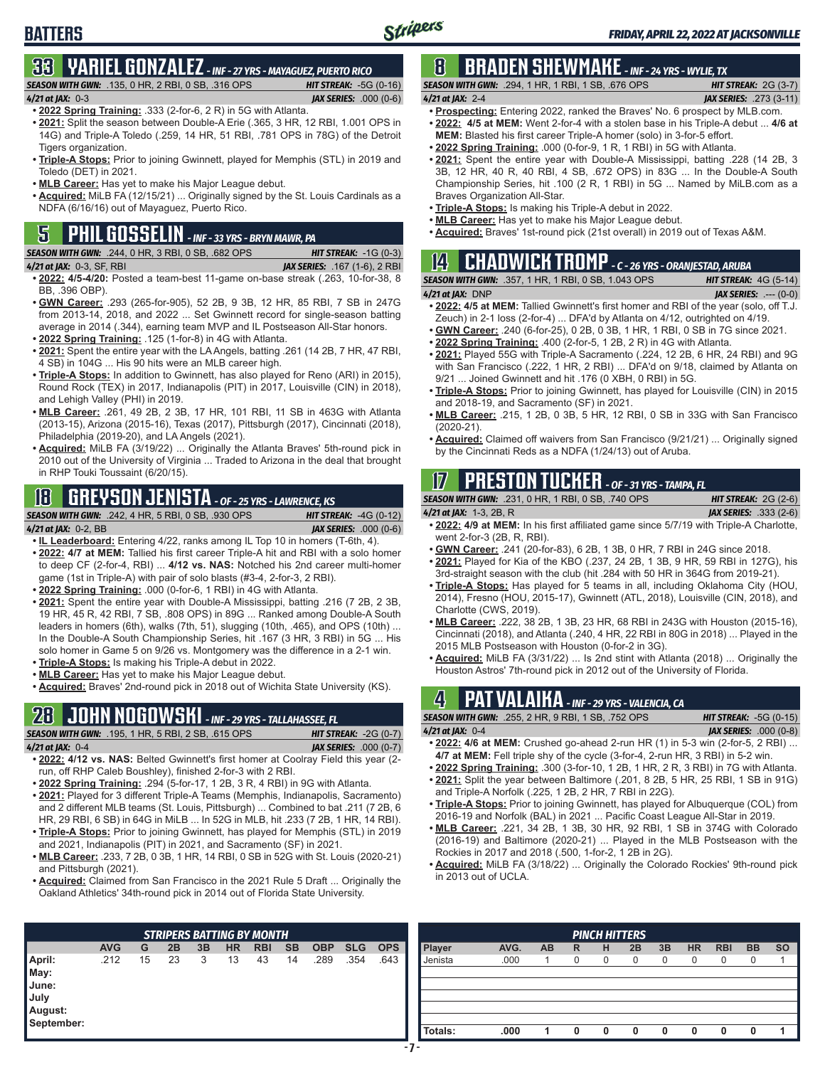# **BATTERS**

### **33 YARIEL GONZALEZ** *- INF - 27 YRS - MAYAGUEZ, PUERTO RICO SEASON WITH GWN:*.135, 0 HR, 2 RBI, 0 SB, .316 OPS *HIT STREAK:* -5G (0-16)

*4/21 at JAX:*0-3 *JAX SERIES:* .000 (0-6) **• 2022 Spring Training:** .333 (2-for-6, 2 R) in 5G with Atlanta.

- **• 2021:** Split the season between Double-A Erie (.365, 3 HR, 12 RBI, 1.001 OPS in 14G) and Triple-A Toledo (.259, 14 HR, 51 RBI, .781 OPS in 78G) of the Detroit Tigers organization
- **• Triple-A Stops:** Prior to joining Gwinnett, played for Memphis (STL) in 2019 and Toledo (DET) in 2021.
- **• MLB Career:** Has yet to make his Major League debut.
- **• Acquired:** MiLB FA (12/15/21) ... Originally signed by the St. Louis Cardinals as a NDFA (6/16/16) out of Mayaguez, Puerto Rico.

# **5 PHIL GOSSELIN** *- INF - 33 YRS - BRYN MAWR, PA*

*SEASON WITH GWN:*.244, 0 HR, 3 RBI, 0 SB, .682 OPS *HIT STREAK:* -1G (0-3)

- *4/21 at JAX:*0-3, SF, RBI *JAX SERIES:* .167 (1-6), 2 RBI
- **• 2022: 4/5-4/20:** Posted a team-best 11-game on-base streak (.263, 10-for-38, 8 BB, .396 OBP).
- **• GWN Career:** .293 (265-for-905), 52 2B, 9 3B, 12 HR, 85 RBI, 7 SB in 247G from 2013-14, 2018, and 2022 ... Set Gwinnett record for single-season batting average in 2014 (.344), earning team MVP and IL Postseason All-Star honors.
- **• 2022 Spring Training:** .125 (1-for-8) in 4G with Atlanta.
- **• 2021:** Spent the entire year with the LA Angels, batting .261 (14 2B, 7 HR, 47 RBI, 4 SB) in 104G ... His 90 hits were an MLB career high.
- **• Triple-A Stops:** In addition to Gwinnett, has also played for Reno (ARI) in 2015), Round Rock (TEX) in 2017, Indianapolis (PIT) in 2017, Louisville (CIN) in 2018), and Lehigh Valley (PHI) in 2019.
- **• MLB Career:** .261, 49 2B, 2 3B, 17 HR, 101 RBI, 11 SB in 463G with Atlanta (2013-15), Arizona (2015-16), Texas (2017), Pittsburgh (2017), Cincinnati (2018), Philadelphia (2019-20), and LA Angels (2021).
- **• Acquired:** MiLB FA (3/19/22) ... Originally the Atlanta Braves' 5th-round pick in 2010 out of the University of Virginia ... Traded to Arizona in the deal that brought in RHP Touki Toussaint (6/20/15).

# **18 GREYSON JENISTA** *- OF - 25 YRS - LAWRENCE, KS*

*SEASON WITH GWN:*.242, 4 HR, 5 RBI, 0 SB, .930 OPS *HIT STREAK:* -4G (0-12)

- *4/21 at JAX:*0-2, BB *JAX SERIES:* .000 (0-6) **• IL Leaderboard:** Entering 4/22, ranks among IL Top 10 in homers (T-6th, 4). **• 2022: 4/7 at MEM:** Tallied his first career Triple-A hit and RBI with a solo homer to deep CF (2-for-4, RBI) ... **4/12 vs. NAS:** Notched his 2nd career multi-homer game (1st in Triple-A) with pair of solo blasts (#3-4, 2-for-3, 2 RBI).
- **• 2022 Spring Training:** .000 (0-for-6, 1 RBI) in 4G with Atlanta.
- **• 2021:** Spent the entire year with Double-A Mississippi, batting .216 (7 2B, 2 3B, 19 HR, 45 R, 42 RBI, 7 SB, .808 OPS) in 89G ... Ranked among Double-A South leaders in homers (6th), walks (7th, 51), slugging (10th, .465), and OPS (10th) ... In the Double-A South Championship Series, hit .167 (3 HR, 3 RBI) in 5G ... His solo homer in Game 5 on 9/26 vs. Montgomery was the difference in a 2-1 win.
- **• Triple-A Stops:** Is making his Triple-A debut in 2022.
- **• MLB Career:** Has yet to make his Major League debut.
- **• Acquired:** Braves' 2nd-round pick in 2018 out of Wichita State University (KS).

### **28 JOHN NOGOWSKI** *- INF - 29 YRS - TALLAHASSEE, FL*

|                          | <b>SEASON WITH GWN:</b> .195, 1 HR, 5 RBI, 2 SB, .615 OPS .                      | <b>HIT STREAK:</b> $-2G(0-7)$  |
|--------------------------|----------------------------------------------------------------------------------|--------------------------------|
| 4 <b>/21 at JAX:</b> 0-4 |                                                                                  | <b>JAX SERIES:</b> $.000(0-7)$ |
|                          | • 2002) AI12 ve NAS: Raltad Gwinnatt's first homar at Coolray Fiald this year (2 |                                |

- **• 2022: 4/12 vs. NAS:** Belted Gwinnett's first homer at Coolray Field this year (2 run, off RHP Caleb Boushley), finished 2-for-3 with 2 RBI.
- **• 2022 Spring Training:** .294 (5-for-17, 1 2B, 3 R, 4 RBI) in 9G with Atlanta.
- **• 2021:** Played for 3 different Triple-A Teams (Memphis, Indianapolis, Sacramento) and 2 different MLB teams (St. Louis, Pittsburgh) ... Combined to bat .211 (7 2B, 6 HR, 29 RBI, 6 SB) in 64G in MiLB ... In 52G in MLB, hit .233 (7 2B, 1 HR, 14 RBI).
- **• Triple-A Stops:** Prior to joining Gwinnett, has played for Memphis (STL) in 2019 and 2021, Indianapolis (PIT) in 2021, and Sacramento (SF) in 2021.
- **• MLB Career:** .233, 7 2B, 0 3B, 1 HR, 14 RBI, 0 SB in 52G with St. Louis (2020-21) and Pittsburgh (2021).
- **• Acquired:** Claimed from San Francisco in the 2021 Rule 5 Draft ... Originally the Oakland Athletics' 34th-round pick in 2014 out of Florida State University.

# **8 BRADEN SHEWMAKE** *- INF - 24 YRS - WYLIE, TX*

- *SEASON WITH GWN:*.294, 1 HR, 1 RBI, 1 SB, .676 OPS *HIT STREAK:* 2G (3-7) *4/21 at JAX:*2-4 *JAX SERIES:* .273 (3-11) **• Prospecting:** Entering 2022, ranked the Braves' No. 6 prospect by MLB.com.
- **• 2022: 4/5 at MEM:** Went 2-for-4 with a stolen base in his Triple-A debut ... **4/6 at MEM:** Blasted his first career Triple-A homer (solo) in 3-for-5 effort.
- **• 2022 Spring Training:** .000 (0-for-9, 1 R, 1 RBI) in 5G with Atlanta.
- **• 2021:** Spent the entire year with Double-A Mississippi, batting .228 (14 2B, 3 3B, 12 HR, 40 R, 40 RBI, 4 SB, .672 OPS) in 83G ... In the Double-A South Championship Series, hit .100 (2 R, 1 RBI) in 5G ... Named by MiLB.com as a Braves Organization All-Star.
- **• Triple-A Stops:** Is making his Triple-A debut in 2022.
- **• MLB Career:** Has yet to make his Major League debut.
- **• Acquired:** Braves' 1st-round pick (21st overall) in 2019 out of Texas A&M.

# **14 CHADWICK TROMP** *- C - 26 YRS - ORANJESTAD, ARUBA*

*SEASON WITH GWN:*.357, 1 HR, 1 RBI, 0 SB, 1.043 OPS *HIT STREAK:* 4G (5-14) *4/21 at JAX:*DNP *JAX SERIES:* .--- (0-0)

- **• 2022: 4/5 at MEM:** Tallied Gwinnett's first homer and RBI of the year (solo, off T.J. Zeuch) in 2-1 loss (2-for-4) ... DFA'd by Atlanta on 4/12, outrighted on 4/19.
- **• GWN Career:** .240 (6-for-25), 0 2B, 0 3B, 1 HR, 1 RBI, 0 SB in 7G since 2021. **• 2022 Spring Training:** .400 (2-for-5, 1 2B, 2 R) in 4G with Atlanta.
- **• 2021:** Played 55G with Triple-A Sacramento (.224, 12 2B, 6 HR, 24 RBI) and 9G with San Francisco (.222, 1 HR, 2 RBI) ... DFA'd on 9/18, claimed by Atlanta on 9/21 ... Joined Gwinnett and hit .176 (0 XBH, 0 RBI) in 5G.
- **• Triple-A Stops:** Prior to joining Gwinnett, has played for Louisville (CIN) in 2015 and 2018-19, and Sacramento (SF) in 2021.
- **• MLB Career:** .215, 1 2B, 0 3B, 5 HR, 12 RBI, 0 SB in 33G with San Francisco (2020-21).
- **• Acquired:** Claimed off waivers from San Francisco (9/21/21) ... Originally signed by the Cincinnati Reds as a NDFA (1/24/13) out of Aruba.

# **17 PRESTON TUCKER** *- OF - 31 YRS - TAMPA, FL*

*SEASON WITH GWN:*.231, 0 HR, 1 RBI, 0 SB, .740 OPS *HIT STREAK:* 2G (2-6)

- *4/21 at JAX:*1-3, 2B, R *JAX SERIES:* .333 (2-6) **• 2022: 4/9 at MEM:** In his first affiliated game since 5/7/19 with Triple-A Charlotte, went 2-for-3 (2B, R, RBI).
- **• GWN Career:** .241 (20-for-83), 6 2B, 1 3B, 0 HR, 7 RBI in 24G since 2018.
- **• 2021:** Played for Kia of the KBO (.237, 24 2B, 1 3B, 9 HR, 59 RBI in 127G), his 3rd-straight season with the club (hit .284 with 50 HR in 364G from 2019-21).
- **• Triple-A Stops:** Has played for 5 teams in all, including Oklahoma City (HOU, 2014), Fresno (HOU, 2015-17), Gwinnett (ATL, 2018), Louisville (CIN, 2018), and Charlotte (CWS, 2019).
- **• MLB Career:** .222, 38 2B, 1 3B, 23 HR, 68 RBI in 243G with Houston (2015-16), Cincinnati (2018), and Atlanta (.240, 4 HR, 22 RBI in 80G in 2018) ... Played in the 2015 MLB Postseason with Houston (0-for-2 in 3G).
- **• Acquired:** MiLB FA (3/31/22) ... Is 2nd stint with Atlanta (2018) ... Originally the Houston Astros' 7th-round pick in 2012 out of the University of Florida.

# **4 PAT VALAIKA** *- INF - 29 YRS - VALENCIA, CA*

| <b>SEASON WITH GWN:</b> .255, 2 HR, 9 RBI, 1 SB, .752 OPS                       | <b>HIT STREAK: <math>-5G(0-15)</math></b> |
|---------------------------------------------------------------------------------|-------------------------------------------|
| $4/21$ at IAX: 0-4                                                              | <b>IAX SERIES:</b> .000 (0-8)             |
| • 2022: 4/6 at MEM: Crushed go-ahead 2-run HR $(1)$ in 5-3 win (2-for-5, 2 RBI) |                                           |

- **4/7 at MEM:** Fell triple shy of the cycle (3-for-4, 2-run HR, 3 RBI) in 5-2 win.
- **• 2022 Spring Training:** .300 (3-for-10, 1 2B, 1 HR, 2 R, 3 RBI) in 7G with Atlanta. **• 2021:** Split the year between Baltimore (.201, 8 2B, 5 HR, 25 RBI, 1 SB in 91G)
- and Triple-A Norfolk (.225, 1 2B, 2 HR, 7 RBI in 22G). **• Triple-A Stops:** Prior to joining Gwinnett, has played for Albuquerque (COL) from 2016-19 and Norfolk (BAL) in 2021 ... Pacific Coast League All-Star in 2019.
- **• MLB Career:** .221, 34 2B, 1 3B, 30 HR, 92 RBI, 1 SB in 374G with Colorado (2016-19) and Baltimore (2020-21) ... Played in the MLB Postseason with the Rockies in 2017 and 2018 (.500, 1-for-2, 1 2B in 2G).
- **• Acquired:** MiLB FA (3/18/22) ... Originally the Colorado Rockies' 9th-round pick in 2013 out of UCLA.

|            |               |      |    |              |              | <b>PINCH HITTERS</b> |              |              |            |           |           |
|------------|---------------|------|----|--------------|--------------|----------------------|--------------|--------------|------------|-----------|-----------|
| <b>OPS</b> | <b>Player</b> | AVG. | AB | R            | н            | 2B                   | 3B           | <b>HR</b>    | <b>RBI</b> | <b>BB</b> | <b>SO</b> |
| .643       | Jenista       | .000 |    | $\Omega$     | 0            | 0                    | 0            | $\mathbf 0$  | 0          | 0         |           |
|            |               |      |    |              |              |                      |              |              |            |           |           |
|            |               |      |    |              |              |                      |              |              |            |           |           |
|            |               |      |    |              |              |                      |              |              |            |           |           |
|            |               |      |    |              |              |                      |              |              |            |           |           |
|            |               |      |    |              |              |                      |              |              |            |           |           |
|            | Totals:       | .000 | 1  | $\mathbf{0}$ | $\mathbf{0}$ | $\mathbf{0}$         | $\mathbf{0}$ | $\mathbf{0}$ | 0          | 0         |           |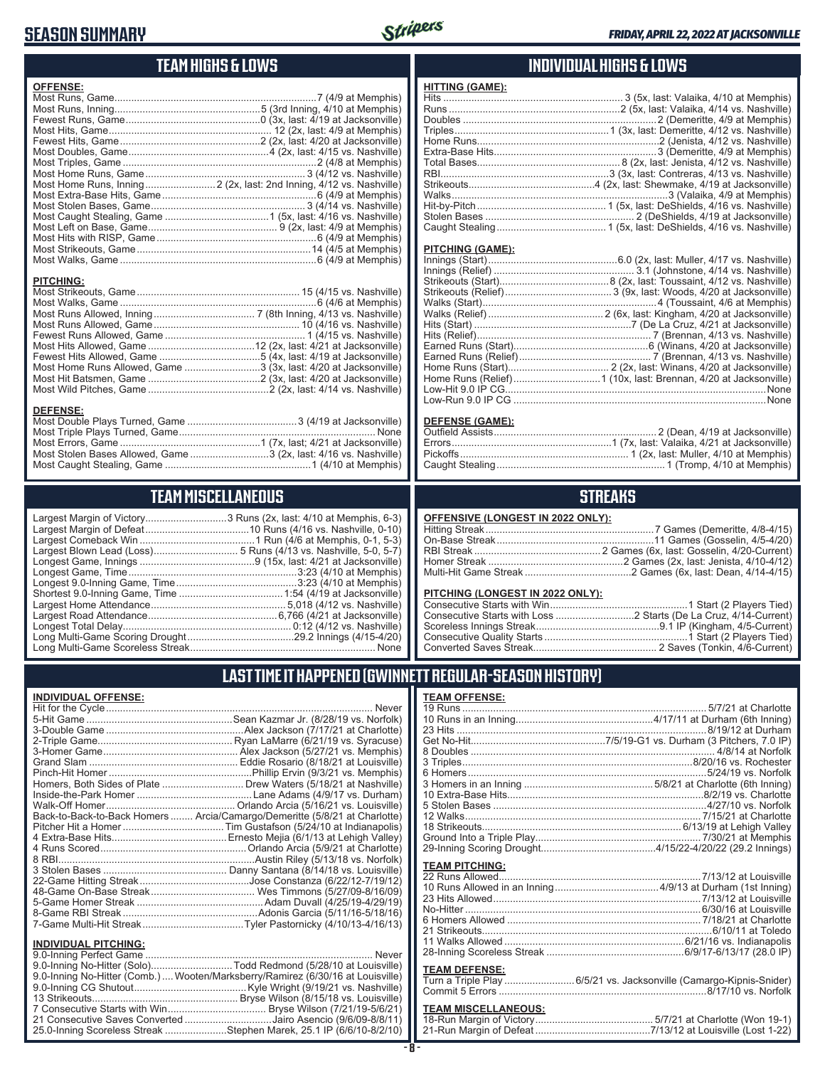### **SEASON SUMMARY**



### **TEAM HIGHS & LOWS**

| <b>OFFENSE:</b> |  |
|-----------------|--|
|                 |  |
|                 |  |
|                 |  |
|                 |  |
|                 |  |
|                 |  |
|                 |  |
|                 |  |
|                 |  |
|                 |  |
|                 |  |
|                 |  |
|                 |  |
|                 |  |
|                 |  |
|                 |  |
|                 |  |

#### **PITCHING:**

| Most Home Runs Allowed, Game 3 (3x, last: 4/20 at Jacksonville) |  |
|-----------------------------------------------------------------|--|
|                                                                 |  |
|                                                                 |  |

#### **DEFENSE:**

| Most Stolen Bases Allowed, Game 3 (2x, last: 4/16 vs. Nashville) |  |
|------------------------------------------------------------------|--|
|                                                                  |  |
|                                                                  |  |

# **TEAM MISCELLANEOUS**

| Long Multi-Game Scoreless Streak | None |
|----------------------------------|------|

 $Run (4/6 at Memphis, 0-1, 5-3)$ uns (4/13 vs. Nashville, 5-0, 5-7 $\acute{\text{ }}$ 9 (15x, last: 4/21 at Jacksonville) ..<sup>.</sup>.............3:23 (4/10 at Memphis) ........... 5,018 (4/12 vs. Nashville) Long Multi-Game Scoring Drought ......................................29.2 Innings (4/15-4/20) Long Multi-Game Scoreless Streak .................................................................. None

### **INDIVIDUAL HIGHS & LOWS**

| <b>HITTING (GAME):</b> |  |
|------------------------|--|
|                        |  |
|                        |  |
|                        |  |
|                        |  |
|                        |  |
|                        |  |
|                        |  |
|                        |  |
|                        |  |
|                        |  |
|                        |  |
|                        |  |
|                        |  |

#### **PITCHING (GAME):**

| None |
|------|
|      |
|      |

### **DEFENSE (GAME):**

### **STREAKS**

#### **PITCHING (LONGEST IN 2022 ONLY):**

### **LAST TIME IT HAPPENED (GWINNETT REGULAR-SEASON HISTORY)**

#### **INDIVIDUAL OFFENSE:**

|                                                        | Homers, Both Sides of Plate  Drew Waters (5/18/21 at Nashville)            |
|--------------------------------------------------------|----------------------------------------------------------------------------|
|                                                        |                                                                            |
|                                                        |                                                                            |
|                                                        | Back-to-Back-to-Back Homers  Arcia/Camargo/Demeritte (5/8/21 at Charlotte) |
|                                                        |                                                                            |
|                                                        |                                                                            |
|                                                        |                                                                            |
|                                                        |                                                                            |
|                                                        |                                                                            |
|                                                        |                                                                            |
|                                                        |                                                                            |
|                                                        |                                                                            |
|                                                        |                                                                            |
|                                                        |                                                                            |
|                                                        |                                                                            |
| <b>INDIVIDUAL PITCHING:</b><br>9 O-Inning Perfect Game | Never                                                                      |
|                                                        |                                                                            |

| טווווט ודי באטשויושווויט.                                                      |  |
|--------------------------------------------------------------------------------|--|
|                                                                                |  |
| 9.0-Inning No-Hitter (Solo)Todd Redmond (5/28/10 at Louisville)                |  |
| 9.0-Inning No-Hitter (Comb.) Wooten/Marksberry/Ramirez (6/30/16 at Louisville) |  |
|                                                                                |  |
|                                                                                |  |
|                                                                                |  |
| 21 Consecutive Saves Converted Jairo Asencio (9/6/09-8/8/11)                   |  |
| 25.0-Inning Scoreless Streak Stephen Marek, 25.1 IP (6/6/10-8/2/10)            |  |
|                                                                                |  |

### **- 8 -**

| Turn a Triple Play 6/5/21 vs. Jacksonville (Camargo-Kipnis-Snider) |
|--------------------------------------------------------------------|
|                                                                    |
|                                                                    |

## **TEAM MISCELLANEOUS:**<br>18-Run Margin of Victory....